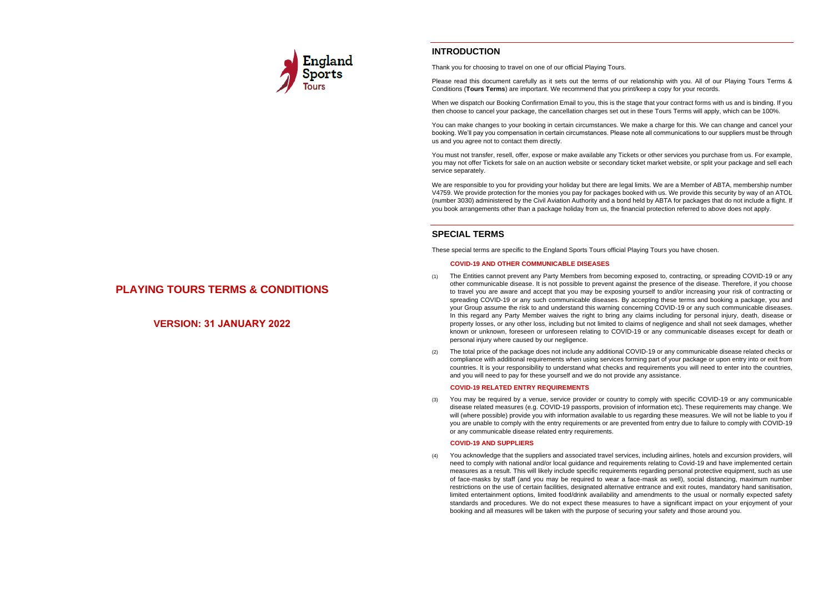

# **INTRODUCTION**

Thank you for choosing to travel on one of our official Playing Tours.

Please read this document carefully as it sets out the terms of our relationship with you. All of our Playing Tours Terms & Conditions (**Tours Terms**) are important. We recommend that you print/keep a copy for your records.

When we dispatch our Booking Confirmation Email to you, this is the stage that your contract forms with us and is binding. If you then choose to cancel your package, the cancellation charges set out in these Tours Terms will apply, which can be 100%.

You can make changes to your booking in certain circumstances. We make a charge for this. We can change and cancel your booking. We'll pay you compensation in certain circumstances. Please note all communications to our suppliers must be through us and you agree not to contact them directly.

You must not transfer, resell, offer, expose or make available any Tickets or other services you purchase from us. For example, you may not offer Tickets for sale on an auction website or secondary ticket market website, or split your package and sell each service separately.

We are responsible to you for providing your holiday but there are legal limits. We are a Member of ABTA, membership number V4759. We provide protection for the monies you pay for packages booked with us. We provide this security by way of an ATOL (number 3030) administered by the Civil Aviation Authority and a bond held by ABTA for packages that do not include a flight. If you book arrangements other than a package holiday from us, the financial protection referred to above does not apply.

# **SPECIAL TERMS**

These special terms are specific to the England Sports Tours official Playing Tours you have chosen.

# **COVID-19 AND OTHER COMMUNICABLE DISEASES**

- (1) The Entities cannot prevent any Party Members from becoming exposed to, contracting, or spreading COVID-19 or any other communicable disease. It is not possible to prevent against the presence of the disease. Therefore, if you choose to travel you are aware and accept that you may be exposing yourself to and/or increasing your risk of contracting or spreading COVID-19 or any such communicable diseases. By accepting these terms and booking a package, you and your Group assume the risk to and understand this warning concerning COVID-19 or any such communicable diseases. In this regard any Party Member waives the right to bring any claims including for personal injury, death, disease or property losses, or any other loss, including but not limited to claims of negligence and shall not seek damages, whether known or unknown, foreseen or unforeseen relating to COVID-19 or any communicable diseases except for death or personal injury where caused by our negligence.
- (2) The total price of the package does not include any additional COVID-19 or any communicable disease related checks or compliance with additional requirements when using services forming part of your package or upon entry into or exit from countries. It is your responsibility to understand what checks and requirements you will need to enter into the countries, and you will need to pay for these yourself and we do not provide any assistance.

# **COVID-19 RELATED ENTRY REQUIREMENTS**

You may be required by a venue, service provider or country to comply with specific COVID-19 or any communicable disease related measures (e.g. COVID-19 passports, provision of information etc). These requirements may change. We will (where possible) provide you with information available to us regarding these measures. We will not be liable to you if you are unable to comply with the entry requirements or are prevented from entry due to failure to comply with COVID-19 or any communicable disease related entry requirements.

## **COVID-19 AND SUPPLIERS**

You acknowledge that the suppliers and associated travel services, including airlines, hotels and excursion providers, will need to comply with national and/or local guidance and requirements relating to Covid-19 and have implemented certain measures as a result. This will likely include specific requirements regarding personal protective equipment, such as use of face-masks by staff (and you may be required to wear a face-mask as well), social distancing, maximum number restrictions on the use of certain facilities, designated alternative entrance and exit routes, mandatory hand sanitisation, limited entertainment options, limited food/drink availability and amendments to the usual or normally expected safety standards and procedures. We do not expect these measures to have a significant impact on your enjoyment of your booking and all measures will be taken with the purpose of securing your safety and those around you.

# **PLAYING TOURS TERMS & CONDITIONS**

# **VERSION: 31 JANUARY 2022**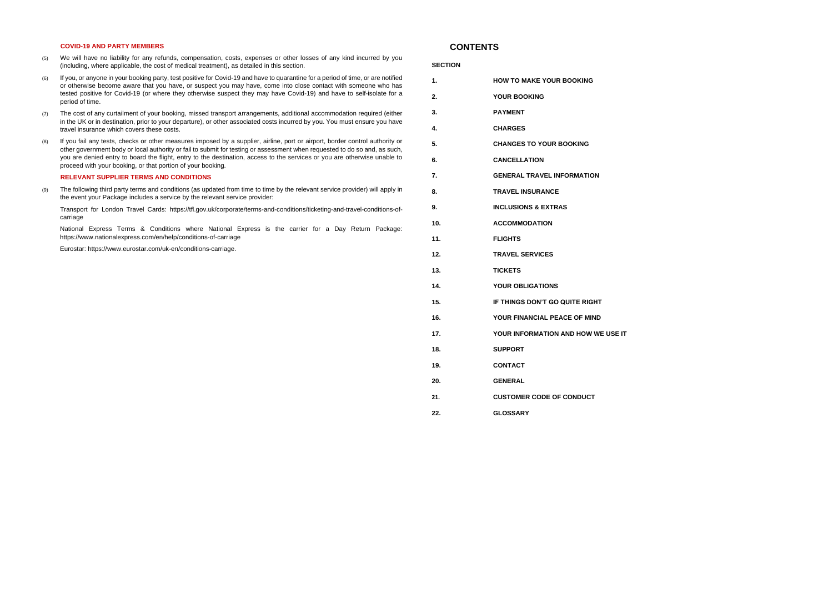# **COVID-19 AND PARTY MEMBERS**

- (5) We will have no liability for any refunds, compensation, costs, expenses or other losses of any kind incurred by you (including, where applicable, the cost of medical treatment), as detailed in this section.
- (6) If you, or anyone in your booking party, test positive for Covid-19 and have to quarantine for a period of time, or are notified or otherwise become aware that you have, or suspect you may have, come into close contact with someone who has tested positive for Covid-19 (or where they otherwise suspect they may have Covid-19) and have to self-isolate for a period of time.
- (7) The cost of any curtailment of your booking, missed transport arrangements, additional accommodation required (either in the UK or in destination, prior to your departure), or other associated costs incurred by you. You must ensure you have travel insurance which covers these costs.
- (8) If you fail any tests, checks or other measures imposed by a supplier, airline, port or airport, border control authority or other government body or local authority or fail to submit for testing or assessment when requested to do so and, as such, you are denied entry to board the flight, entry to the destination, access to the services or you are otherwise unable to proceed with your booking, or that portion of your booking.

### **RELEVANT SUPPLIER TERMS AND CONDITIONS**

(9) The following third party terms and conditions (as updated from time to time by the relevant service provider) will apply in the event your Package includes a service by the relevant service provider:

Transport for London Travel Cards: https://tfl.gov.uk/corporate/terms-and-conditions/ticketing-and-travel-conditions-ofcarriage

National Express Terms & Conditions where National Express is the carrier for a Day Return Package: https://www.nationalexpress.com/en/help/conditions-of-carriage

Eurostar: [https://www.eurostar.com/uk-en/conditions-carriag](https://www.eurostar.com/uk-en/conditions-carria)e.

# **CONTENTS**

#### **SECTION**

| 1.  | <b>HOW TO MAKE YOUR BOOKING</b>    |
|-----|------------------------------------|
| 2.  | <b>YOUR BOOKING</b>                |
| 3.  | <b>PAYMENT</b>                     |
| 4.  | <b>CHARGES</b>                     |
| 5.  | <b>CHANGES TO YOUR BOOKING</b>     |
| 6.  | <b>CANCELLATION</b>                |
| 7.  | <b>GENERAL TRAVEL INFORMATION</b>  |
| 8.  | <b>TRAVEL INSURANCE</b>            |
| 9.  | <b>INCLUSIONS &amp; EXTRAS</b>     |
| 10. | <b>ACCOMMODATION</b>               |
| 11. | <b>FLIGHTS</b>                     |
| 12. | <b>TRAVEL SERVICES</b>             |
| 13. | <b>TICKETS</b>                     |
| 14. | YOUR OBLIGATIONS                   |
| 15. | IF THINGS DON'T GO QUITE RIGHT     |
| 16. | YOUR FINANCIAL PEACE OF MIND       |
| 17. | YOUR INFORMATION AND HOW WE USE IT |
| 18. | <b>SUPPORT</b>                     |
| 19. | <b>CONTACT</b>                     |
| 20. | <b>GENERAL</b>                     |
| 21. | <b>CUSTOMER CODE OF CONDUCT</b>    |
| 22. | <b>GLOSSARY</b>                    |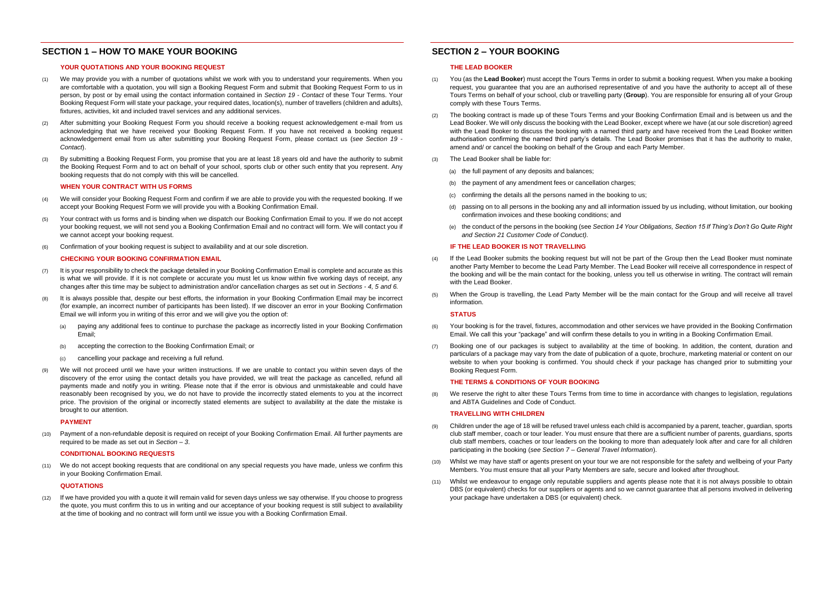# **SECTION 1 – HOW TO MAKE YOUR BOOKING**

## **YOUR QUOTATIONS AND YOUR BOOKING REQUEST**

- (1) We may provide you with a number of quotations whilst we work with you to understand your requirements. When you are comfortable with a quotation, you will sign a Booking Request Form and submit that Booking Request Form to us in person, by post or by email using the contact information contained in *Section 19 - Contact* of these Tour Terms. Your Booking Request Form will state your package, your required dates, location(s), number of travellers (children and adults), fixtures, activities, kit and included travel services and any additional services.
- (2) After submitting your Booking Request Form you should receive a booking request acknowledgement e-mail from us acknowledging that we have received your Booking Request Form. If you have not received a booking request acknowledgement email from us after submitting your Booking Request Form, please contact us (*see Section 19 - Contact*).
- By submitting a Booking Request Form, you promise that you are at least 18 years old and have the authority to submit the Booking Request Form and to act on behalf of your school, sports club or other such entity that you represent. Any booking requests that do not comply with this will be cancelled.

## **WHEN YOUR CONTRACT WITH US FORMS**

- (4) We will consider your Booking Request Form and confirm if we are able to provide you with the requested booking. If we accept your Booking Request Form we will provide you with a Booking Confirmation Email.
- (5) Your contract with us forms and is binding when we dispatch our Booking Confirmation Email to you. If we do not accept your booking request, we will not send you a Booking Confirmation Email and no contract will form. We will contact you if we cannot accept your booking request.
- (6) Confirmation of your booking request is subject to availability and at our sole discretion.

### **CHECKING YOUR BOOKING CONFIRMATION EMAIL**

- (7) It is your responsibility to check the package detailed in your Booking Confirmation Email is complete and accurate as this is what we will provide. If it is not complete or accurate you must let us know within five working days of receipt, any changes after this time may be subject to administration and/or cancellation charges as set out in *Sections - 4, 5 and 6.*
- (8) It is always possible that, despite our best efforts, the information in your Booking Confirmation Email may be incorrect (for example, an incorrect number of participants has been listed). If we discover an error in your Booking Confirmation Email we will inform you in writing of this error and we will give you the option of:
	- (a) paying any additional fees to continue to purchase the package as incorrectly listed in your Booking Confirmation Email;
	- (b) accepting the correction to the Booking Confirmation Email; or
	- (c) cancelling your package and receiving a full refund.
- (9) We will not proceed until we have your written instructions. If we are unable to contact you within seven days of the discovery of the error using the contact details you have provided, we will treat the package as cancelled, refund all payments made and notify you in writing. Please note that if the error is obvious and unmistakeable and could have reasonably been recognised by you, we do not have to provide the incorrectly stated elements to you at the incorrect price. The provision of the original or incorrectly stated elements are subject to availability at the date the mistake is brought to our attention.

#### **PAYMENT**

(10) Payment of a non-refundable deposit is required on receipt of your Booking Confirmation Email. All further payments are required to be made as set out in *Section – 3*.

### **CONDITIONAL BOOKING REQUESTS**

(11) We do not accept booking requests that are conditional on any special requests you have made, unless we confirm this in your Booking Confirmation Email.

# **QUOTATIONS**

(12) If we have provided you with a quote it will remain valid for seven days unless we say otherwise. If you choose to progress the quote, you must confirm this to us in writing and our acceptance of your booking request is still subject to availability at the time of booking and no contract will form until we issue you with a Booking Confirmation Email.

# **SECTION 2 – YOUR BOOKING**

# **THE LEAD BOOKER**

- (1) You (as the **Lead Booker**) must accept the Tours Terms in order to submit a booking request. When you make a booking request, you guarantee that you are an authorised representative of and you have the authority to accept all of these Tours Terms on behalf of your school, club or travelling party (**Group**). You are responsible for ensuring all of your Group comply with these Tours Terms.
- (2) The booking contract is made up of these Tours Terms and your Booking Confirmation Email and is between us and the Lead Booker. We will only discuss the booking with the Lead Booker, except where we have (at our sole discretion) agreed with the Lead Booker to discuss the booking with a named third party and have received from the Lead Booker written authorisation confirming the named third party's details. The Lead Booker promises that it has the authority to make, amend and/ or cancel the booking on behalf of the Group and each Party Member.
- (3) The Lead Booker shall be liable for:
	- (a) the full payment of any deposits and balances;
	- (b) the payment of any amendment fees or cancellation charges;
	- (c) confirming the details all the persons named in the booking to us;
	- (d) passing on to all persons in the booking any and all information issued by us including, without limitation, our booking confirmation invoices and these booking conditions; and
	- (e) the conduct of the persons in the booking (see *Section 14 Your Obligations, Section 15 If Thing's Don't Go Quite Right and Section 21 Customer Code of Conduct).*

# **IF THE LEAD BOOKER IS NOT TRAVELLING**

- If the Lead Booker submits the booking request but will not be part of the Group then the Lead Booker must nominate another Party Member to become the Lead Party Member. The Lead Booker will receive all correspondence in respect of the booking and will be the main contact for the booking, unless you tell us otherwise in writing. The contract will remain with the Lead Booker.
- (5) When the Group is travelling, the Lead Party Member will be the main contact for the Group and will receive all travel information.

# **STATUS**

- (6) Your booking is for the travel, fixtures, accommodation and other services we have provided in the Booking Confirmation Email. We call this your "package" and will confirm these details to you in writing in a Booking Confirmation Email.
- (7) Booking one of our packages is subject to availability at the time of booking. In addition, the content, duration and particulars of a package may vary from the date of publication of a quote, brochure, marketing material or content on our website to when your booking is confirmed. You should check if your package has changed prior to submitting your Booking Request Form.

### **THE TERMS & CONDITIONS OF YOUR BOOKING**

We reserve the right to alter these Tours Terms from time to time in accordance with changes to legislation, regulations and ABTA Guidelines and Code of Conduct.

## **TRAVELLING WITH CHILDREN**

- (9) Children under the age of 18 will be refused travel unless each child is accompanied by a parent, teacher, guardian, sports club staff member, coach or tour leader. You must ensure that there are a sufficient number of parents, guardians, sports club staff members, coaches or tour leaders on the booking to more than adequately look after and care for all children participating in the booking (*see Section 7 – General Travel Information*).
- (10) Whilst we may have staff or agents present on your tour we are not responsible for the safety and wellbeing of your Party Members. You must ensure that all your Party Members are safe, secure and looked after throughout.
- (11) Whilst we endeavour to engage only reputable suppliers and agents please note that it is not always possible to obtain DBS (or equivalent) checks for our suppliers or agents and so we cannot guarantee that all persons involved in delivering your package have undertaken a DBS (or equivalent) check.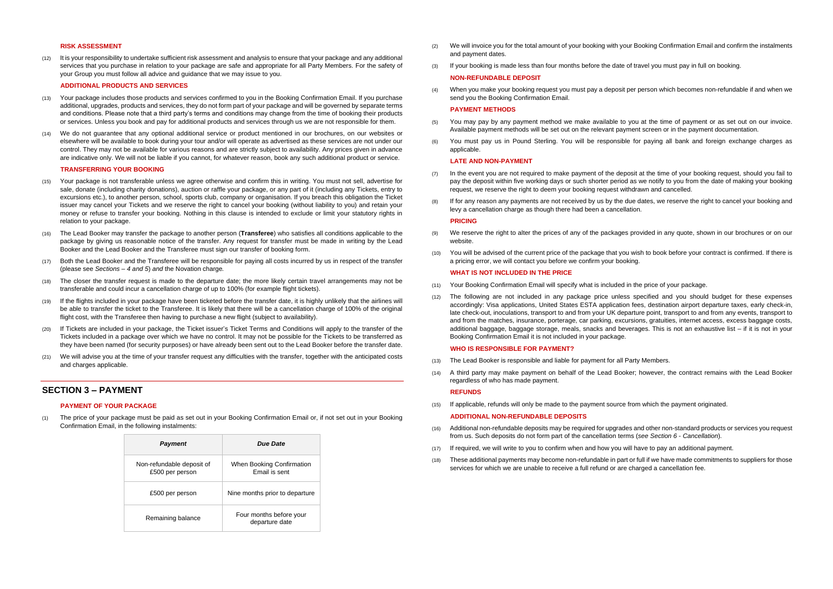# **RISK ASSESSMENT**

(12) It is your responsibility to undertake sufficient risk assessment and analysis to ensure that your package and any additional services that you purchase in relation to your package are safe and appropriate for all Party Members. For the safety of your Group you must follow all advice and guidance that we may issue to you.

### **ADDITIONAL PRODUCTS AND SERVICES**

- Your package includes those products and services confirmed to you in the Booking Confirmation Email. If you purchase additional, upgrades, products and services, they do not form part of your package and will be governed by separate terms and conditions. Please note that a third party's terms and conditions may change from the time of booking their products or services. Unless you book and pay for additional products and services through us we are not responsible for them.
- (14) We do not guarantee that any optional additional service or product mentioned in our brochures, on our websites or elsewhere will be available to book during your tour and/or will operate as advertised as these services are not under our control. They may not be available for various reasons and are strictly subject to availability. Any prices given in advance are indicative only. We will not be liable if you cannot, for whatever reason, book any such additional product or service.

### **TRANSFERRING YOUR BOOKING**

- (15) Your package is not transferable unless we agree otherwise and confirm this in writing. You must not sell, advertise for sale, donate (including charity donations), auction or raffle your package, or any part of it (including any Tickets, entry to excursions etc.), to another person, school, sports club, company or organisation. If you breach this obligation the Ticket issuer may cancel your Tickets and we reserve the right to cancel your booking (without liability to you) and retain your money or refuse to transfer your booking. Nothing in this clause is intended to exclude or limit your statutory rights in relation to your package.
- (16) The Lead Booker may transfer the package to another person (**Transferee**) who satisfies all conditions applicable to the package by giving us reasonable notice of the transfer. Any request for transfer must be made in writing by the Lead Booker and the Lead Booker and the Transferee must sign our transfer of booking form.
- (17) Both the Lead Booker and the Transferee will be responsible for paying all costs incurred by us in respect of the transfer (please see *Sections – 4 and 5*) *and* the Novation charge*.*
- (18) The closer the transfer request is made to the departure date; the more likely certain travel arrangements may not be transferable and could incur a cancellation charge of up to 100% (for example flight tickets).
- (19) If the flights included in your package have been ticketed before the transfer date, it is highly unlikely that the airlines will be able to transfer the ticket to the Transferee. It is likely that there will be a cancellation charge of 100% of the original flight cost, with the Transferee then having to purchase a new flight (subject to availability).
- (20) If Tickets are included in your package, the Ticket issuer's Ticket Terms and Conditions will apply to the transfer of the Tickets included in a package over which we have no control. It may not be possible for the Tickets to be transferred as they have been named (for security purposes) or have already been sent out to the Lead Booker before the transfer date.
- (21) We will advise you at the time of your transfer request any difficulties with the transfer, together with the anticipated costs and charges applicable.

# **SECTION 3 – PAYMENT**

### **PAYMENT OF YOUR PACKAGE**

(1) The price of your package must be paid as set out in your Booking Confirmation Email or, if not set out in your Booking Confirmation Email, in the following instalments:

| Payment                                      | <b>Due Date</b>                                   |
|----------------------------------------------|---------------------------------------------------|
| Non-refundable deposit of<br>£500 per person | When Booking Confirmation<br><b>Email is sent</b> |
| £500 per person                              | Nine months prior to departure                    |
| Remaining balance                            | Four months before your<br>departure date         |

- (2) We will invoice you for the total amount of your booking with your Booking Confirmation Email and confirm the instalments and payment dates.
- (3) If your booking is made less than four months before the date of travel you must pay in full on booking.

#### **NON-REFUNDABLE DEPOSIT**

(4) When you make your booking request you must pay a deposit per person which becomes non-refundable if and when we send you the Booking Confirmation Email.

# **PAYMENT METHODS**

- (5) You may pay by any payment method we make available to you at the time of payment or as set out on our invoice. Available payment methods will be set out on the relevant payment screen or in the payment documentation.
- (6) You must pay us in Pound Sterling. You will be responsible for paying all bank and foreign exchange charges as applicable.

### **LATE AND NON-PAYMENT**

- (7) In the event you are not required to make payment of the deposit at the time of your booking request, should you fail to pay the deposit within five working days or such shorter period as we notify to you from the date of making your booking request, we reserve the right to deem your booking request withdrawn and cancelled.
- (8) If for any reason any payments are not received by us by the due dates, we reserve the right to cancel your booking and levy a cancellation charge as though there had been a cancellation.

### **PRICING**

- (9) We reserve the right to alter the prices of any of the packages provided in any quote, shown in our brochures or on our website.
- You will be advised of the current price of the package that you wish to book before your contract is confirmed. If there is a pricing error, we will contact you before we confirm your booking.

### **WHAT IS NOT INCLUDED IN THE PRICE**

- (11) Your Booking Confirmation Email will specify what is included in the price of your package.
- (12) The following are not included in any package price unless specified and you should budget for these expenses accordingly: Visa applications, United States ESTA application fees, destination airport departure taxes, early check-in, late check-out, inoculations, transport to and from your UK departure point, transport to and from any events, transport to and from the matches, insurance, porterage, car parking, excursions, gratuities, internet access, excess baggage costs, additional baggage, baggage storage, meals, snacks and beverages. This is not an exhaustive list – if it is not in your Booking Confirmation Email it is not included in your package.

### **WHO IS RESPONSIBLE FOR PAYMENT?**

- (13) The Lead Booker is responsible and liable for payment for all Party Members.
- (14) A third party may make payment on behalf of the Lead Booker; however, the contract remains with the Lead Booker regardless of who has made payment.

### **REFUNDS**

(15) If applicable, refunds will only be made to the payment source from which the payment originated.

### **ADDITIONAL NON-REFUNDABLE DEPOSITS**

- (16) Additional non-refundable deposits may be required for upgrades and other non-standard products or services you request from us. Such deposits do not form part of the cancellation terms (*see Section 6 - Cancellation*)*.*
- (17) If required, we will write to you to confirm when and how you will have to pay an additional payment.
- (18) These additional payments may become non-refundable in part or full if we have made commitments to suppliers for those services for which we are unable to receive a full refund or are charged a cancellation fee.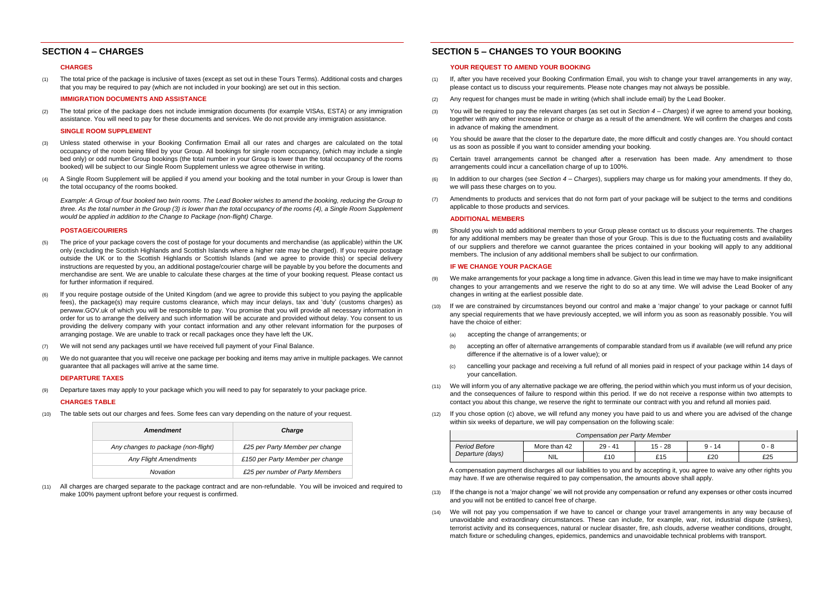# **SECTION 4 – CHARGES**

# **CHARGES**

(1) The total price of the package is inclusive of taxes (except as set out in these Tours Terms). Additional costs and charges that you may be required to pay (which are not included in your booking) are set out in this section.

### **IMMIGRATION DOCUMENTS AND ASSISTANCE**

(2) The total price of the package does not include immigration documents (for example VISAs, ESTA) or any immigration assistance. You will need to pay for these documents and services. We do not provide any immigration assistance.

### **SINGLE ROOM SUPPLEMENT**

- Unless stated otherwise in your Booking Confirmation Email all our rates and charges are calculated on the total occupancy of the room being filled by your Group. All bookings for single room occupancy, (which may include a single bed only) or odd number Group bookings (the total number in your Group is lower than the total occupancy of the rooms booked) will be subject to our Single Room Supplement unless we agree otherwise in writing.
- (4) A Single Room Supplement will be applied if you amend your booking and the total number in your Group is lower than the total occupancy of the rooms booked.

*Example: A Group of four booked two twin rooms. The Lead Booker wishes to amend the booking, reducing the Group to three. As the total number in the Group (3) is lower than the total occupancy of the rooms (4), a Single Room Supplement would be applied in addition to the Change to Package (non-flight) Charge.*

### **POSTAGE/COURIERS**

- (5) The price of your package covers the cost of postage for your documents and merchandise (as applicable) within the UK only (excluding the Scottish Highlands and Scottish Islands where a higher rate may be charged). If you require postage outside the UK or to the Scottish Highlands or Scottish Islands (and we agree to provide this) or special delivery instructions are requested by you, an additional postage/courier charge will be payable by you before the documents and merchandise are sent. We are unable to calculate these charges at the time of your booking request. Please contact us for further information if required.
- (6) If you require postage outside of the United Kingdom (and we agree to provide this subject to you paying the applicable fees), the package(s) may require customs clearance, which may incur delays, tax and 'duty' (customs charges) as perwww.GOV.uk of which you will be responsible to pay. You promise that you will provide all necessary information in order for us to arrange the delivery and such information will be accurate and provided without delay. You consent to us providing the delivery company with your contact information and any other relevant information for the purposes of arranging postage. We are unable to track or recall packages once they have left the UK.
- (7) We will not send any packages until we have received full payment of your Final Balance.
- (8) We do not guarantee that you will receive one package per booking and items may arrive in multiple packages. We cannot guarantee that all packages will arrive at the same time.

#### **DEPARTURE TAXES**

(9) Departure taxes may apply to your package which you will need to pay for separately to your package price.

# **CHARGES TABLE**

The table sets out our charges and fees. Some fees can vary depending on the nature of your request.

| <b>Amendment</b>                    | Charge                           |
|-------------------------------------|----------------------------------|
| Any changes to package (non-flight) | £25 per Party Member per change  |
| <b>Any Flight Amendments</b>        | £150 per Party Member per change |
| Novation                            | £25 per number of Party Members  |

(11) All charges are charged separate to the package contract and are non-refundable. You will be invoiced and required to make 100% payment upfront before your request is confirmed.

# **SECTION 5 – CHANGES TO YOUR BOOKING**

# **YOUR REQUEST TO AMEND YOUR BOOKING**

- (1) If, after you have received your Booking Confirmation Email, you wish to change your travel arrangements in any way, please contact us to discuss your requirements. Please note changes may not always be possible.
- (2) Any request for changes must be made in writing (which shall include email) by the Lead Booker.
- (3) You will be required to pay the relevant charges (as set out in *Section 4 Charges*) if we agree to amend your booking, together with any other increase in price or charge as a result of the amendment. We will confirm the charges and costs in advance of making the amendment.
- (4) You should be aware that the closer to the departure date, the more difficult and costly changes are. You should contact us as soon as possible if you want to consider amending your booking.
- Certain travel arrangements cannot be changed after a reservation has been made. Any amendment to those arrangements could incur a cancellation charge of up to 100%.
- (6) In addition to our charges (see *Section 4 Charges*), suppliers may charge us for making your amendments. If they do, we will pass these charges on to you.
- (7) Amendments to products and services that do not form part of your package will be subject to the terms and conditions applicable to those products and services.

### **ADDITIONAL MEMBERS**

(8) Should you wish to add additional members to your Group please contact us to discuss your requirements. The charges for any additional members may be greater than those of your Group. This is due to the fluctuating costs and availability of our suppliers and therefore we cannot guarantee the prices contained in your booking will apply to any additional members. The inclusion of any additional members shall be subject to our confirmation.

### **IF WE CHANGE YOUR PACKAGE**

- (9) We make arrangements for your package a long time in advance. Given this lead in time we may have to make insignificant changes to your arrangements and we reserve the right to do so at any time. We will advise the Lead Booker of any changes in writing at the earliest possible date.
- (10) If we are constrained by circumstances beyond our control and make a 'major change' to your package or cannot fulfil any special requirements that we have previously accepted, we will inform you as soon as reasonably possible. You will have the choice of either:
	- (a) accepting the change of arrangements; or
	- (b) accepting an offer of alternative arrangements of comparable standard from us if available (we will refund any price difference if the alternative is of a lower value); or
	- (c) cancelling your package and receiving a full refund of all monies paid in respect of your package within 14 days of your cancellation.
- (11) We will inform you of any alternative package we are offering, the period within which you must inform us of your decision, and the consequences of failure to respond within this period. If we do not receive a response within two attempts to contact you about this change, we reserve the right to terminate our contract with you and refund all monies paid.
- (12) If you chose option (c) above, we will refund any money you have paid to us and where you are advised of the change within six weeks of departure, we will pay compensation on the following scale:

| <b>Compensation per Party Member</b> |              |         |           |          |       |
|--------------------------------------|--------------|---------|-----------|----------|-------|
| Period Before<br>Departure (days)    | More than 42 | 29 - 41 | $15 - 28$ | $9 - 14$ | 0 - 8 |
|                                      | <b>NIL</b>   | £10     | £15       | £20      | £25   |

A compensation payment discharges all our liabilities to you and by accepting it, you agree to waive any other rights you may have. If we are otherwise required to pay compensation, the amounts above shall apply.

- (13) If the change is not a 'major change' we will not provide any compensation or refund any expenses or other costs incurred and you will not be entitled to cancel free of charge.
- (14) We will not pay you compensation if we have to cancel or change your travel arrangements in any way because of unavoidable and extraordinary circumstances. These can include, for example, war, riot, industrial dispute (strikes), terrorist activity and its consequences, natural or nuclear disaster, fire, ash clouds, adverse weather conditions, drought, match fixture or scheduling changes, epidemics, pandemics and unavoidable technical problems with transport.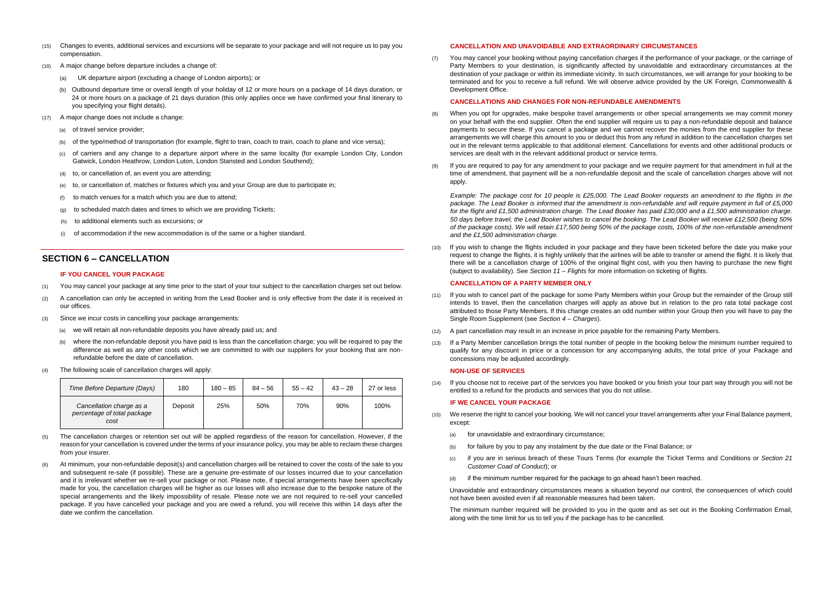- (15) Changes to events, additional services and excursions will be separate to your package and will not require us to pay you compensation.
- (16) A major change before departure includes a change of:
	- (a) UK departure airport (excluding a change of London airports); or
	- (b) Outbound departure time or overall length of your holiday of 12 or more hours on a package of 14 days duration, or 24 or more hours on a package of 21 days duration (this only applies once we have confirmed your final itinerary to you specifying your flight details).
- (17) A major change does not include a change:
	- (a) of travel service provider;
	- (b) of the type/method of transportation (for example, flight to train, coach to train, coach to plane and vice versa);
	- (c) of carriers and any change to a departure airport where in the same locality (for example London City, London Gatwick, London Heathrow, London Luton, London Stansted and London Southend);
	- (d) to, or cancellation of, an event you are attending;
	- (e) to, or cancellation of, matches or fixtures which you and your Group are due to participate in;
	- (f) to match venues for a match which you are due to attend;
	- (g) to scheduled match dates and times to which we are providing Tickets;
	- (h) to additional elements such as excursions; or
	- (i) of accommodation if the new accommodation is of the same or a higher standard.

# **SECTION 6 – CANCELLATION**

### **IF YOU CANCEL YOUR PACKAGE**

- (1) You may cancel your package at any time prior to the start of your tour subject to the cancellation charges set out below.
- (2) A cancellation can only be accepted in writing from the Lead Booker and is only effective from the date it is received in our offices.
- (3) Since we incur costs in cancelling your package arrangements:
	- (a) we will retain all non-refundable deposits you have already paid us; and
	- (b) where the non-refundable deposit you have paid is less than the cancellation charge; you will be required to pay the difference as well as any other costs which we are committed to with our suppliers for your booking that are nonrefundable before the date of cancellation.
- (4) The following scale of cancellation charges will apply:

| Time Before Departure (Days)                                    | 180     | $180 - 85$ | $84 - 56$ | $55 - 42$ | $43 - 28$ | 27 or less |
|-----------------------------------------------------------------|---------|------------|-----------|-----------|-----------|------------|
| Cancellation charge as a<br>percentage of total package<br>cost | Deposit | 25%        | 50%       | 70%       | 90%       | 100%       |

- (5) The cancellation charges or retention set out will be applied regardless of the reason for cancellation. However, if the reason for your cancellation is covered under the terms of your insurance policy, you may be able to reclaim these charges from your insurer.
- (6) At minimum, your non-refundable deposit(s) and cancellation charges will be retained to cover the costs of the sale to you and subsequent re-sale (if possible). These are a genuine pre-estimate of our losses incurred due to your cancellation and it is irrelevant whether we re-sell your package or not. Please note, if special arrangements have been specifically made for you, the cancellation charges will be higher as our losses will also increase due to the bespoke nature of the special arrangements and the likely impossibility of resale. Please note we are not required to re-sell your cancelled package. If you have cancelled your package and you are owed a refund, you will receive this within 14 days after the date we confirm the cancellation.

### **CANCELLATION AND UNAVOIDABLE AND EXTRAORDINARY CIRCUMSTANCES**

(7) You may cancel your booking without paying cancellation charges if the performance of your package, or the carriage of Party Members to your destination, is significantly affected by unavoidable and extraordinary circumstances at the destination of your package or within its immediate vicinity. In such circumstances, we will arrange for your booking to be terminated and for you to receive a full refund. We will observe advice provided by the UK Foreign, Commonwealth & Development Office.

# **CANCELLATIONS AND CHANGES FOR NON-REFUNDABLE AMENDMENTS**

- When you opt for upgrades, make bespoke travel arrangements or other special arrangements we may commit money on your behalf with the end supplier. Often the end supplier will require us to pay a non-refundable deposit and balance payments to secure these. If you cancel a package and we cannot recover the monies from the end supplier for these arrangements we will charge this amount to you or deduct this from any refund in addition to the cancellation charges set out in the relevant terms applicable to that additional element. Cancellations for events and other additional products or services are dealt with in the relevant additional product or service terms.
- If you are required to pay for any amendment to your package and we require payment for that amendment in full at the time of amendment, that payment will be a non-refundable deposit and the scale of cancellation charges above will not apply.

*Example: The package cost for 10 people is £25,000. The Lead Booker requests an amendment to the flights in the package. The Lead Booker is informed that the amendment is non-refundable and will require payment in full of £5,000 for the flight and £1,500 administration charge. The Lead Booker has paid £30,000 and a £1,500 administration charge. 50 days before travel, the Lead Booker wishes to cancel the booking. The Lead Booker will receive £12,500 (being 50% of the package costs). We will retain £17,500 being 50% of the package costs, 100% of the non-refundable amendment and the £1,500 administration charge.*

(10) If you wish to change the flights included in your package and they have been ticketed before the date you make your request to change the flights, it is highly unlikely that the airlines will be able to transfer or amend the flight. It is likely that there will be a cancellation charge of 100% of the original flight cost, with you then having to purchase the new flight (subject to availability). See *Section 11 – Flights* for more information on ticketing of flights.

### **CANCELLATION OF A PARTY MEMBER ONLY**

- (11) If you wish to cancel part of the package for some Party Members within your Group but the remainder of the Group still intends to travel, then the cancellation charges will apply as above but in relation to the pro rata total package cost attributed to those Party Members. If this change creates an odd number within your Group then you will have to pay the Single Room Supplement (see *Section 4* – *Charges*).
- (12) A part cancellation may result in an increase in price payable for the remaining Party Members.
- (13) If a Party Member cancellation brings the total number of people in the booking below the minimum number required to qualify for any discount in price or a concession for any accompanying adults, the total price of your Package and concessions may be adjusted accordingly.

### **NON-USE OF SERVICES**

If you choose not to receive part of the services you have booked or you finish your tour part way through you will not be entitled to a refund for the products and services that you do not utilise.

# **IF WE CANCEL YOUR PACKAGE**

- (15) We reserve the right to cancel your booking. We will not cancel your travel arrangements after your Final Balance payment, except:
	- (a) for unavoidable and extraordinary circumstance;
	- (b) for failure by you to pay any instalment by the due date or the Final Balance; or
	- (c) if you are in serious breach of these Tours Terms (for example the Ticket Terms and Conditions or *Section 21 Customer Coad of Conduct*); or
	- if the minimum number required for the package to go ahead hasn't been reached.

Unavoidable and extraordinary circumstances means a situation beyond our control, the consequences of which could not have been avoided even if all reasonable measures had been taken.

The minimum number required will be provided to you in the quote and as set out in the Booking Confirmation Email, along with the time limit for us to tell you if the package has to be cancelled.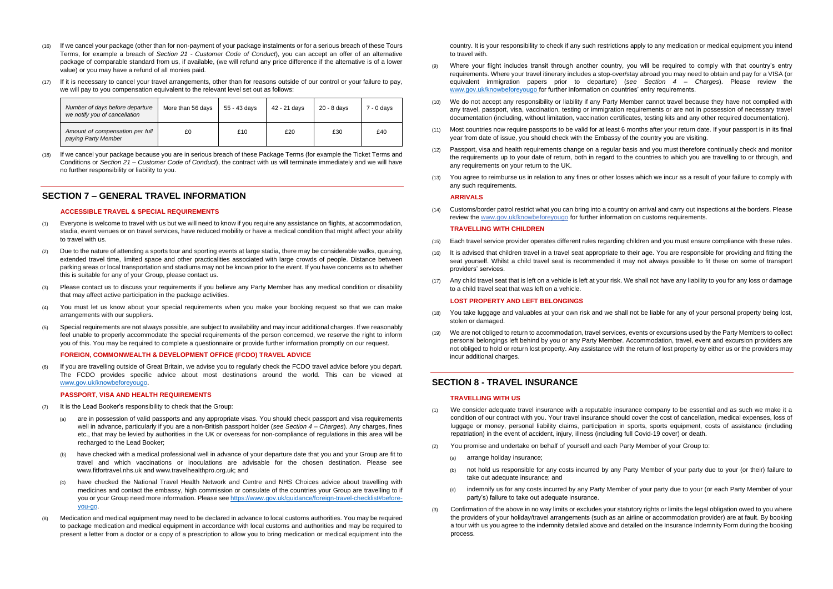- (16) If we cancel your package (other than for non-payment of your package instalments or for a serious breach of these Tours Terms, for example a breach of *Section 21 - Customer Code of Conduct*), you can accept an offer of an alternative package of comparable standard from us, if available, (we will refund any price difference if the alternative is of a lower value) or you may have a refund of all monies paid.
- (17) If it is necessary to cancel your travel arrangements, other than for reasons outside of our control or your failure to pay, we will pay to you compensation equivalent to the relevant level set out as follows:

| Number of days before departure<br>we notify you of cancellation | More than 56 days | 55 - 43 days | 42 - 21 davs | 20 - 8 days | 7 - 0 davs |
|------------------------------------------------------------------|-------------------|--------------|--------------|-------------|------------|
| Amount of compensation per full<br>paying Party Member           | £0                | £10          | £20          | £30         | £40        |

(18) If we cancel your package because you are in serious breach of these Package Terms (for example the Ticket Terms and Conditions or *Section 21 – Customer Code of Conduct*), the contract with us will terminate immediately and we will have no further responsibility or liability to you.

# **SECTION 7 – GENERAL TRAVEL INFORMATION**

# **ACCESSIBLE TRAVEL & SPECIAL REQUIREMENTS**

- (1) Everyone is welcome to travel with us but we will need to know if you require any assistance on flights, at accommodation, stadia, event venues or on travel services, have reduced mobility or have a medical condition that might affect your ability to travel with us.
- (2) Due to the nature of attending a sports tour and sporting events at large stadia, there may be considerable walks, queuing, extended travel time, limited space and other practicalities associated with large crowds of people. Distance between parking areas or local transportation and stadiums may not be known prior to the event. If you have concerns as to whether this is suitable for any of your Group, please contact us.
- (3) Please contact us to discuss your requirements if you believe any Party Member has any medical condition or disability that may affect active participation in the package activities.
- (4) You must let us know about your special requirements when you make your booking request so that we can make arrangements with our suppliers.
- (5) Special requirements are not always possible, are subject to availability and may incur additional charges. If we reasonably feel unable to properly accommodate the special requirements of the person concerned, we reserve the right to inform you of this. You may be required to complete a questionnaire or provide further information promptly on our request.

### **FOREIGN, COMMONWEALTH & DEVELOPMENT OFFICE (FCDO) TRAVEL ADVICE**

(6) If you are travelling outside of Great Britain, we advise you to regularly check the FCDO travel advice before you depart. The FCDO provides specific advice about most destinations around the world. This can be viewed at [www.gov.uk/knowbeforeyougo.](http://www.gov.uk/knowbeforeyougo)

### **PASSPORT, VISA AND HEALTH REQUIREMENTS**

- (7) It is the Lead Booker's responsibility to check that the Group:
	- (a) are in possession of valid passports and any appropriate visas. You should check passport and visa requirements well in advance, particularly if you are a non-British passport holder (*see Section 4 – Charges*). Any charges, fines etc., that may be levied by authorities in the UK or overseas for non-compliance of regulations in this area will be recharged to the Lead Booker;
	- (b) have checked with a medical professional well in advance of your departure date that you and your Group are fit to travel and which vaccinations or inoculations are advisable for the chosen destination. Please see www.fitfortravel.nhs.uk and www.travelhealthpro.org.uk; and
	- (c) have checked the National Travel Health Network and Centre and NHS Choices advice about travelling with medicines and contact the embassy, high commission or consulate of the countries your Group are travelling to if you or your Group need more information. Please se[e https://www.gov.uk/guidance/foreign-travel-checklist#before](https://www.gov.uk/guidance/foreign-travel-checklist#before-you-go)[you-go.](https://www.gov.uk/guidance/foreign-travel-checklist#before-you-go)
- (8) Medication and medical equipment may need to be declared in advance to local customs authorities. You may be required to package medication and medical equipment in accordance with local customs and authorities and may be required to present a letter from a doctor or a copy of a prescription to allow you to bring medication or medical equipment into the

country. It is your responsibility to check if any such restrictions apply to any medication or medical equipment you intend to travel with.

- (9) Where your flight includes transit through another country, you will be required to comply with that country's entry requirements. Where your travel itinerary includes a stop-over/stay abroad you may need to obtain and pay for a VISA (or equivalent immigration papers prior to departure) (*see Section 4 – Charges*). Please review the [www.gov.uk/knowbeforeyougo](http://www.gov.uk/knowbeforeyougo) for further information on countries' entry requirements.
- We do not accept any responsibility or liability if any Party Member cannot travel because they have not complied with any travel, passport, visa, vaccination, testing or immigration requirements or are not in possession of necessary travel documentation (including, without limitation, vaccination certificates, testing kits and any other required documentation).
- (11) Most countries now require passports to be valid for at least 6 months after your return date. If your passport is in its final year from date of issue, you should check with the Embassy of the country you are visiting.
- (12) Passport, visa and health requirements change on a regular basis and you must therefore continually check and monitor the requirements up to your date of return, both in regard to the countries to which you are travelling to or through, and any requirements on your return to the UK.
- (13) You agree to reimburse us in relation to any fines or other losses which we incur as a result of your failure to comply with any such requirements.

### **ARRIVALS**

(14) Customs/border patrol restrict what you can bring into a country on arrival and carry out inspections at the borders. Please review th[e www.gov.uk/knowbeforeyougo](http://www.gov.uk/knowbeforeyougo) for further information on customs requirements.

## **TRAVELLING WITH CHILDREN**

- (15) Each travel service provider operates different rules regarding children and you must ensure compliance with these rules.
- (16) It is advised that children travel in a travel seat appropriate to their age. You are responsible for providing and fitting the seat yourself. Whilst a child travel seat is recommended it may not always possible to fit these on some of transport providers' services.
- (17) Any child travel seat that is left on a vehicle is left at your risk. We shall not have any liability to you for any loss or damage to a child travel seat that was left on a vehicle.

### **LOST PROPERTY AND LEFT BELONGINGS**

- (18) You take luggage and valuables at your own risk and we shall not be liable for any of your personal property being lost, stolen or damaged.
- (19) We are not obliged to return to accommodation, travel services, events or excursions used by the Party Members to collect personal belongings left behind by you or any Party Member. Accommodation, travel, event and excursion providers are not obliged to hold or return lost property. Any assistance with the return of lost property by either us or the providers may incur additional charges.

# **SECTION 8 - TRAVEL INSURANCE**

### **TRAVELLING WITH US**

- (1) We consider adequate travel insurance with a reputable insurance company to be essential and as such we make it a condition of our contract with you. Your travel insurance should cover the cost of cancellation, medical expenses, loss of luggage or money, personal liability claims, participation in sports, sports equipment, costs of assistance (including repatriation) in the event of accident, injury, illness (including full Covid-19 cover) or death.
- (2) You promise and undertake on behalf of yourself and each Party Member of your Group to:
	- (a) arrange holiday insurance;
	- (b) not hold us responsible for any costs incurred by any Party Member of your party due to your (or their) failure to take out adequate insurance; and
	- (c) indemnify us for any costs incurred by any Party Member of your party due to your (or each Party Member of your party's) failure to take out adequate insurance.
- (3) Confirmation of the above in no way limits or excludes your statutory rights or limits the legal obligation owed to you where the providers of your holiday/travel arrangements (such as an airline or accommodation provider) are at fault. By booking a tour with us you agree to the indemnity detailed above and detailed on the Insurance Indemnity Form during the booking process.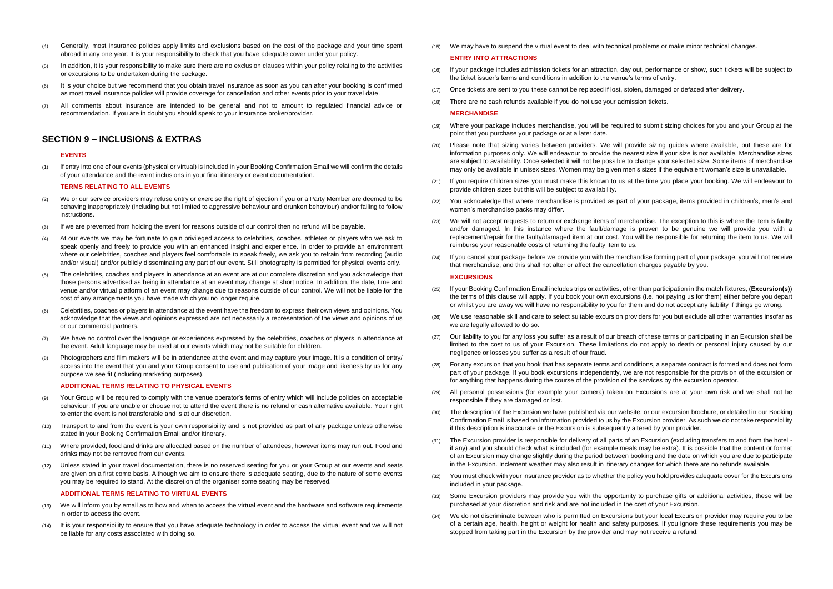- (4) Generally, most insurance policies apply limits and exclusions based on the cost of the package and your time spent abroad in any one year. It is your responsibility to check that you have adequate cover under your policy.
- (5) In addition, it is your responsibility to make sure there are no exclusion clauses within your policy relating to the activities or excursions to be undertaken during the package.
- (6) It is your choice but we recommend that you obtain travel insurance as soon as you can after your booking is confirmed as most travel insurance policies will provide coverage for cancellation and other events prior to your travel date.
- (7) All comments about insurance are intended to be general and not to amount to regulated financial advice or recommendation. If you are in doubt you should speak to your insurance broker/provider.

# **SECTION 9 – INCLUSIONS & EXTRAS**

#### **EVENTS**

(1) If entry into one of our events (physical or virtual) is included in your Booking Confirmation Email we will confirm the details of your attendance and the event inclusions in your final itinerary or event documentation.

## **TERMS RELATING TO ALL EVENTS**

- (2) We or our service providers may refuse entry or exercise the right of ejection if you or a Party Member are deemed to be behaving inappropriately (including but not limited to aggressive behaviour and drunken behaviour) and/or failing to follow instructions.
- (3) If we are prevented from holding the event for reasons outside of our control then no refund will be payable.
- (4) At our events we may be fortunate to gain privileged access to celebrities, coaches, athletes or players who we ask to speak openly and freely to provide you with an enhanced insight and experience. In order to provide an environment where our celebrities, coaches and players feel comfortable to speak freely, we ask you to refrain from recording (audio and/or visual) and/or publicly disseminating any part of our event. Still photography is permitted for physical events only.
- (5) The celebrities, coaches and players in attendance at an event are at our complete discretion and you acknowledge that those persons advertised as being in attendance at an event may change at short notice. In addition, the date, time and venue and/or virtual platform of an event may change due to reasons outside of our control. We will not be liable for the cost of any arrangements you have made which you no longer require.
- (6) Celebrities, coaches or players in attendance at the event have the freedom to express their own views and opinions. You acknowledge that the views and opinions expressed are not necessarily a representation of the views and opinions of us or our commercial partners.
- (7) We have no control over the language or experiences expressed by the celebrities, coaches or players in attendance at the event. Adult language may be used at our events which may not be suitable for children.
- (8) Photographers and film makers will be in attendance at the event and may capture your image. It is a condition of entry/ access into the event that you and your Group consent to use and publication of your image and likeness by us for any purpose we see fit (including marketing purposes).

### **ADDITIONAL TERMS RELATING TO PHYSICAL EVENTS**

- Your Group will be required to comply with the venue operator's terms of entry which will include policies on acceptable behaviour. If you are unable or choose not to attend the event there is no refund or cash alternative available. Your right to enter the event is not transferable and is at our discretion.
- Transport to and from the event is your own responsibility and is not provided as part of any package unless otherwise stated in your Booking Confirmation Email and/or itinerary.
- (11) Where provided, food and drinks are allocated based on the number of attendees, however items may run out. Food and drinks may not be removed from our events.
- (12) Unless stated in your travel documentation, there is no reserved seating for you or your Group at our events and seats are given on a first come basis. Although we aim to ensure there is adequate seating, due to the nature of some events you may be required to stand. At the discretion of the organiser some seating may be reserved.

### **ADDITIONAL TERMS RELATING TO VIRTUAL EVENTS**

- (13) We will inform you by email as to how and when to access the virtual event and the hardware and software requirements in order to access the event.
- (14) It is your responsibility to ensure that you have adequate technology in order to access the virtual event and we will not be liable for any costs associated with doing so.

(15) We may have to suspend the virtual event to deal with technical problems or make minor technical changes.

# **ENTRY INTO ATTRACTIONS**

- (16) If your package includes admission tickets for an attraction, day out, performance or show, such tickets will be subject to the ticket issuer's terms and conditions in addition to the venue's terms of entry.
- Once tickets are sent to you these cannot be replaced if lost, stolen, damaged or defaced after delivery.
- There are no cash refunds available if you do not use your admission tickets.

#### **MERCHANDISE**

- (19) Where your package includes merchandise, you will be required to submit sizing choices for you and your Group at the point that you purchase your package or at a later date.
- (20) Please note that sizing varies between providers. We will provide sizing guides where available, but these are for information purposes only. We will endeavour to provide the nearest size if your size is not available. Merchandise sizes are subject to availability. Once selected it will not be possible to change your selected size. Some items of merchandise may only be available in unisex sizes. Women may be given men's sizes if the equivalent woman's size is unavailable.
- (21) If you require children sizes you must make this known to us at the time you place your booking. We will endeavour to provide children sizes but this will be subject to availability.
- (22) You acknowledge that where merchandise is provided as part of your package, items provided in children's, men's and women's merchandise packs may differ.
- (23) We will not accept requests to return or exchange items of merchandise. The exception to this is where the item is faulty and/or damaged. In this instance where the fault/damage is proven to be genuine we will provide you with a replacement/repair for the faulty/damaged item at our cost. You will be responsible for returning the item to us. We will reimburse your reasonable costs of returning the faulty item to us.
- (24) If you cancel your package before we provide you with the merchandise forming part of your package, you will not receive that merchandise, and this shall not alter or affect the cancellation charges payable by you.

# **EXCURSIONS**

- (25) If your Booking Confirmation Email includes trips or activities, other than participation in the match fixtures, (**Excursion(s)**) the terms of this clause will apply. If you book your own excursions (i.e. not paying us for them) either before you depart or whilst you are away we will have no responsibility to you for them and do not accept any liability if things go wrong.
- (26) We use reasonable skill and care to select suitable excursion providers for you but exclude all other warranties insofar as we are legally allowed to do so.
- (27) Our liability to you for any loss you suffer as a result of our breach of these terms or participating in an Excursion shall be limited to the cost to us of your Excursion. These limitations do not apply to death or personal injury caused by our negligence or losses you suffer as a result of our fraud.
- (28) For any excursion that you book that has separate terms and conditions, a separate contract is formed and does not form part of your package. If you book excursions independently, we are not responsible for the provision of the excursion or for anything that happens during the course of the provision of the services by the excursion operator.
- (29) All personal possessions (for example your camera) taken on Excursions are at your own risk and we shall not be responsible if they are damaged or lost.
- (30) The description of the Excursion we have published via our website, or our excursion brochure, or detailed in our Booking Confirmation Email is based on information provided to us by the Excursion provider. As such we do not take responsibility if this description is inaccurate or the Excursion is subsequently altered by your provider.
- (31) The Excursion provider is responsible for delivery of all parts of an Excursion (excluding transfers to and from the hotel if any) and you should check what is included (for example meals may be extra). It is possible that the content or format of an Excursion may change slightly during the period between booking and the date on which you are due to participate in the Excursion. Inclement weather may also result in itinerary changes for which there are no refunds available.
- (32) You must check with your insurance provider as to whether the policy you hold provides adequate cover for the Excursions included in your package.
- (33) Some Excursion providers may provide you with the opportunity to purchase gifts or additional activities, these will be purchased at your discretion and risk and are not included in the cost of your Excursion.
- We do not discriminate between who is permitted on Excursions but your local Excursion provider may require you to be of a certain age, health, height or weight for health and safety purposes. If you ignore these requirements you may be stopped from taking part in the Excursion by the provider and may not receive a refund.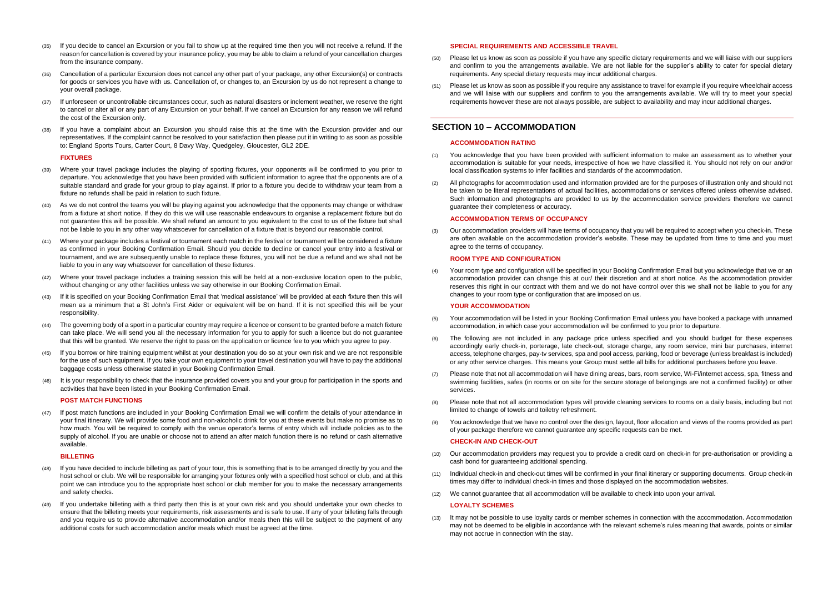- (35) If you decide to cancel an Excursion or you fail to show up at the required time then you will not receive a refund. If the reason for cancellation is covered by your insurance policy, you may be able to claim a refund of your cancellation charges from the insurance company.
- (36) Cancellation of a particular Excursion does not cancel any other part of your package, any other Excursion(s) or contracts for goods or services you have with us. Cancellation of, or changes to, an Excursion by us do not represent a change to your overall package.
- (37) If unforeseen or uncontrollable circumstances occur, such as natural disasters or inclement weather, we reserve the right to cancel or alter all or any part of any Excursion on your behalf. If we cancel an Excursion for any reason we will refund the cost of the Excursion only.
- (38) If you have a complaint about an Excursion you should raise this at the time with the Excursion provider and our representatives. If the complaint cannot be resolved to your satisfaction then please put it in writing to as soon as possible to: England Sports Tours, Carter Court, 8 Davy Way, Quedgeley, Gloucester, GL2 2DE.

#### **FIXTURES**

- (39) Where your travel package includes the playing of sporting fixtures, your opponents will be confirmed to you prior to departure. You acknowledge that you have been provided with sufficient information to agree that the opponents are of a suitable standard and grade for your group to play against. If prior to a fixture you decide to withdraw your team from a fixture no refunds shall be paid in relation to such fixture.
- (40) As we do not control the teams you will be playing against you acknowledge that the opponents may change or withdraw from a fixture at short notice. If they do this we will use reasonable endeavours to organise a replacement fixture but do not guarantee this will be possible. We shall refund an amount to you equivalent to the cost to us of the fixture but shall not be liable to you in any other way whatsoever for cancellation of a fixture that is beyond our reasonable control.
- (41) Where your package includes a festival or tournament each match in the festival or tournament will be considered a fixture as confirmed in your Booking Confirmation Email. Should you decide to decline or cancel your entry into a festival or tournament, and we are subsequently unable to replace these fixtures, you will not be due a refund and we shall not be liable to you in any way whatsoever for cancellation of these fixtures.
- (42) Where your travel package includes a training session this will be held at a non-exclusive location open to the public, without changing or any other facilities unless we say otherwise in our Booking Confirmation Email.
- (43) If it is specified on your Booking Confirmation Email that 'medical assistance' will be provided at each fixture then this will mean as a minimum that a St John's First Aider or equivalent will be on hand. If it is not specified this will be your responsibility.
- (44) The governing body of a sport in a particular country may require a licence or consent to be granted before a match fixture can take place. We will send you all the necessary information for you to apply for such a licence but do not guarantee that this will be granted. We reserve the right to pass on the application or licence fee to you which you agree to pay.
- (45) If you borrow or hire training equipment whilst at your destination you do so at your own risk and we are not responsible for the use of such equipment. If you take your own equipment to your travel destination you will have to pay the additional baggage costs unless otherwise stated in your Booking Confirmation Email.
- It is your responsibility to check that the insurance provided covers you and your group for participation in the sports and activities that have been listed in your Booking Confirmation Email.

#### **POST MATCH FUNCTIONS**

(47) If post match functions are included in your Booking Confirmation Email we will confirm the details of your attendance in your final itinerary. We will provide some food and non-alcoholic drink for you at these events but make no promise as to how much. You will be required to comply with the venue operator's terms of entry which will include policies as to the supply of alcohol. If you are unable or choose not to attend an after match function there is no refund or cash alternative available.

#### **BILLETING**

- (48) If you have decided to include billeting as part of your tour, this is something that is to be arranged directly by you and the host school or club. We will be responsible for arranging your fixtures only with a specified host school or club, and at this point we can introduce you to the appropriate host school or club member for you to make the necessary arrangements and safety checks.
- (49) If you undertake billeting with a third party then this is at your own risk and you should undertake your own checks to ensure that the billeting meets your requirements, risk assessments and is safe to use. If any of your billeting falls through and you require us to provide alternative accommodation and/or meals then this will be subject to the payment of any additional costs for such accommodation and/or meals which must be agreed at the time.

### **SPECIAL REQUIREMENTS AND ACCESSIBLE TRAVEL**

- (50) Please let us know as soon as possible if you have any specific dietary requirements and we will liaise with our suppliers and confirm to you the arrangements available. We are not liable for the supplier's ability to cater for special dietary requirements. Any special dietary requests may incur additional charges.
- Please let us know as soon as possible if you require any assistance to travel for example if you require wheelchair access and we will liaise with our suppliers and confirm to you the arrangements available. We will try to meet your special requirements however these are not always possible, are subject to availability and may incur additional charges.

# **SECTION 10 – ACCOMMODATION**

#### **ACCOMMODATION RATING**

- (1) You acknowledge that you have been provided with sufficient information to make an assessment as to whether your accommodation is suitable for your needs, irrespective of how we have classified it. You should not rely on our and/or local classification systems to infer facilities and standards of the accommodation.
- (2) All photographs for accommodation used and information provided are for the purposes of illustration only and should not be taken to be literal representations of actual facilities, accommodations or services offered unless otherwise advised. Such information and photographs are provided to us by the accommodation service providers therefore we cannot guarantee their completeness or accuracy.

### **ACCOMMODATION TERMS OF OCCUPANCY**

(3) Our accommodation providers will have terms of occupancy that you will be required to accept when you check-in. These are often available on the accommodation provider's website. These may be updated from time to time and you must agree to the terms of occupancy.

### **ROOM TYPE AND CONFIGURATION**

Your room type and configuration will be specified in your Booking Confirmation Email but you acknowledge that we or an accommodation provider can change this at our/ their discretion and at short notice. As the accommodation provider reserves this right in our contract with them and we do not have control over this we shall not be liable to you for any changes to your room type or configuration that are imposed on us.

### **YOUR ACCOMMODATION**

- (5) Your accommodation will be listed in your Booking Confirmation Email unless you have booked a package with unnamed accommodation, in which case your accommodation will be confirmed to you prior to departure.
- (6) The following are not included in any package price unless specified and you should budget for these expenses accordingly early check-in, porterage, late check-out, storage charge, any room service, mini bar purchases, internet access, telephone charges, pay-tv services, spa and pool access, parking, food or beverage (unless breakfast is included) or any other service charges. This means your Group must settle all bills for additional purchases before you leave.
- (7) Please note that not all accommodation will have dining areas, bars, room service, Wi-Fi/internet access, spa, fitness and swimming facilities, safes (in rooms or on site for the secure storage of belongings are not a confirmed facility) or other services.
- (8) Please note that not all accommodation types will provide cleaning services to rooms on a daily basis, including but not limited to change of towels and toiletry refreshment.
- (9) You acknowledge that we have no control over the design, layout, floor allocation and views of the rooms provided as part of your package therefore we cannot guarantee any specific requests can be met.

## **CHECK-IN AND CHECK-OUT**

- (10) Our accommodation providers may request you to provide a credit card on check-in for pre-authorisation or providing a cash bond for guaranteeing additional spending.
- (11) Individual check-in and check-out times will be confirmed in your final itinerary or supporting documents. Group check-in times may differ to individual check-in times and those displayed on the accommodation websites.
- (12) We cannot guarantee that all accommodation will be available to check into upon your arrival.

### **LOYALTY SCHEMES**

(13) It may not be possible to use loyalty cards or member schemes in connection with the accommodation. Accommodation may not be deemed to be eligible in accordance with the relevant scheme's rules meaning that awards, points or similar may not accrue in connection with the stay.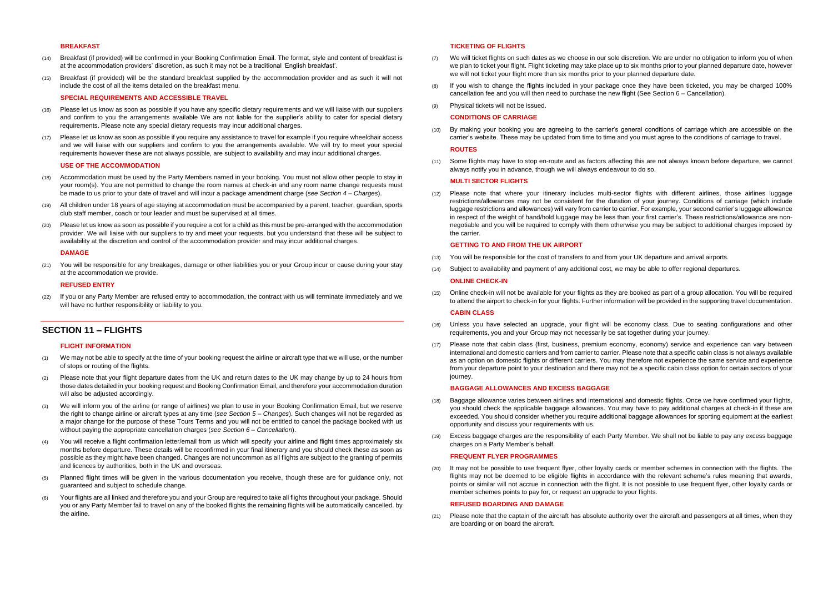### **BREAKFAST**

- (14) Breakfast (if provided) will be confirmed in your Booking Confirmation Email. The format, style and content of breakfast is at the accommodation providers' discretion, as such it may not be a traditional 'English breakfast'.
- (15) Breakfast (if provided) will be the standard breakfast supplied by the accommodation provider and as such it will not include the cost of all the items detailed on the breakfast menu.

### **SPECIAL REQUIREMENTS AND ACCESSIBLE TRAVEL**

- (16) Please let us know as soon as possible if you have any specific dietary requirements and we will liaise with our suppliers and confirm to you the arrangements available We are not liable for the supplier's ability to cater for special dietary requirements. Please note any special dietary requests may incur additional charges.
- (17) Please let us know as soon as possible if you require any assistance to travel for example if you require wheelchair access and we will liaise with our suppliers and confirm to you the arrangements available. We will try to meet your special requirements however these are not always possible, are subject to availability and may incur additional charges.

### **USE OF THE ACCOMMODATION**

- (18) Accommodation must be used by the Party Members named in your booking. You must not allow other people to stay in your room(s). You are not permitted to change the room names at check-in and any room name change requests must be made to us prior to your date of travel and will incur a package amendment charge (*see Section 4 – Charges*).
- (19) All children under 18 years of age staying at accommodation must be accompanied by a parent, teacher, guardian, sports club staff member, coach or tour leader and must be supervised at all times.
- (20) Please let us know as soon as possible if you require a cot for a child as this must be pre-arranged with the accommodation provider. We will liaise with our suppliers to try and meet your requests, but you understand that these will be subject to availability at the discretion and control of the accommodation provider and may incur additional charges.

### **DAMAGE**

(21) You will be responsible for any breakages, damage or other liabilities you or your Group incur or cause during your stay at the accommodation we provide.

#### **REFUSED ENTRY**

(22) If you or any Party Member are refused entry to accommodation, the contract with us will terminate immediately and we will have no further responsibility or liability to you.

# **SECTION 11 – FLIGHTS**

#### **FLIGHT INFORMATION**

- (1) We may not be able to specify at the time of your booking request the airline or aircraft type that we will use, or the number of stops or routing of the flights.
- (2) Please note that your flight departure dates from the UK and return dates to the UK may change by up to 24 hours from those dates detailed in your booking request and Booking Confirmation Email, and therefore your accommodation duration will also be adjusted accordingly.
- (3) We will inform you of the airline (or range of airlines) we plan to use in your Booking Confirmation Email, but we reserve the right to change airline or aircraft types at any time (*see Section 5 – Changes*). Such changes will not be regarded as a major change for the purpose of these Tours Terms and you will not be entitled to cancel the package booked with us without paying the appropriate cancellation charges (*see Section 6 – Cancellation*).
- (4) You will receive a flight confirmation letter/email from us which will specify your airline and flight times approximately six months before departure. These details will be reconfirmed in your final itinerary and you should check these as soon as possible as they might have been changed. Changes are not uncommon as all flights are subject to the granting of permits and licences by authorities, both in the UK and overseas.
- (5) Planned flight times will be given in the various documentation you receive, though these are for guidance only, not guaranteed and subject to schedule change.
- (6) Your flights are all linked and therefore you and your Group are required to take all flights throughout your package. Should you or any Party Member fail to travel on any of the booked flights the remaining flights will be automatically cancelled. by the airline.

# **TICKETING OF FLIGHTS**

- (7) We will ticket flights on such dates as we choose in our sole discretion. We are under no obligation to inform you of when we plan to ticket your flight. Flight ticketing may take place up to six months prior to your planned departure date, however we will not ticket your flight more than six months prior to your planned departure date.
- (8) If you wish to change the flights included in your package once they have been ticketed, you may be charged 100% cancellation fee and you will then need to purchase the new flight (See Section 6 – Cancellation).

### (9) Physical tickets will not be issued.

# **CONDITIONS OF CARRIAGE**

(10) By making your booking you are agreeing to the carrier's general conditions of carriage which are accessible on the carrier's website. These may be updated from time to time and you must agree to the conditions of carriage to travel.

# **ROUTES**

(11) Some flights may have to stop en-route and as factors affecting this are not always known before departure, we cannot always notify you in advance, though we will always endeavour to do so.

## **MULTI SECTOR FLIGHTS**

(12) Please note that where your itinerary includes multi-sector flights with different airlines, those airlines luggage restrictions/allowances may not be consistent for the duration of your journey. Conditions of carriage (which include luggage restrictions and allowances) will vary from carrier to carrier. For example, your second carrier's luggage allowance in respect of the weight of hand/hold luggage may be less than your first carrier's. These restrictions/allowance are nonnegotiable and you will be required to comply with them otherwise you may be subject to additional charges imposed by the carrier.

### **GETTING TO AND FROM THE UK AIRPORT**

- (13) You will be responsible for the cost of transfers to and from your UK departure and arrival airports.
- (14) Subject to availability and payment of any additional cost, we may be able to offer regional departures.

# **ONLINE CHECK-IN**

(15) Online check-in will not be available for your flights as they are booked as part of a group allocation. You will be required to attend the airport to check-in for your flights. Further information will be provided in the supporting travel documentation.

# **CABIN CLASS**

- (16) Unless you have selected an upgrade, your flight will be economy class. Due to seating configurations and other requirements, you and your Group may not necessarily be sat together during your journey.
- Please note that cabin class (first, business, premium economy, economy) service and experience can vary between international and domestic carriers and from carrier to carrier. Please note that a specific cabin class is not always available as an option on domestic flights or different carriers. You may therefore not experience the same service and experience from your departure point to your destination and there may not be a specific cabin class option for certain sectors of your journey.

#### **BAGGAGE ALLOWANCES AND EXCESS BAGGAGE**

- (18) Baggage allowance varies between airlines and international and domestic flights. Once we have confirmed your flights, you should check the applicable baggage allowances. You may have to pay additional charges at check-in if these are exceeded. You should consider whether you require additional baggage allowances for sporting equipment at the earliest opportunity and discuss your requirements with us.
- (19) Excess baggage charges are the responsibility of each Party Member. We shall not be liable to pay any excess baggage charges on a Party Member's behalf.

### **FREQUENT FLYER PROGRAMMES**

(20) It may not be possible to use frequent flyer, other loyalty cards or member schemes in connection with the flights. The flights may not be deemed to be eligible flights in accordance with the relevant scheme's rules meaning that awards, points or similar will not accrue in connection with the flight. It is not possible to use frequent flyer, other loyalty cards or member schemes points to pay for, or request an upgrade to your flights.

### **REFUSED BOARDING AND DAMAGE**

Please note that the captain of the aircraft has absolute authority over the aircraft and passengers at all times, when they are boarding or on board the aircraft.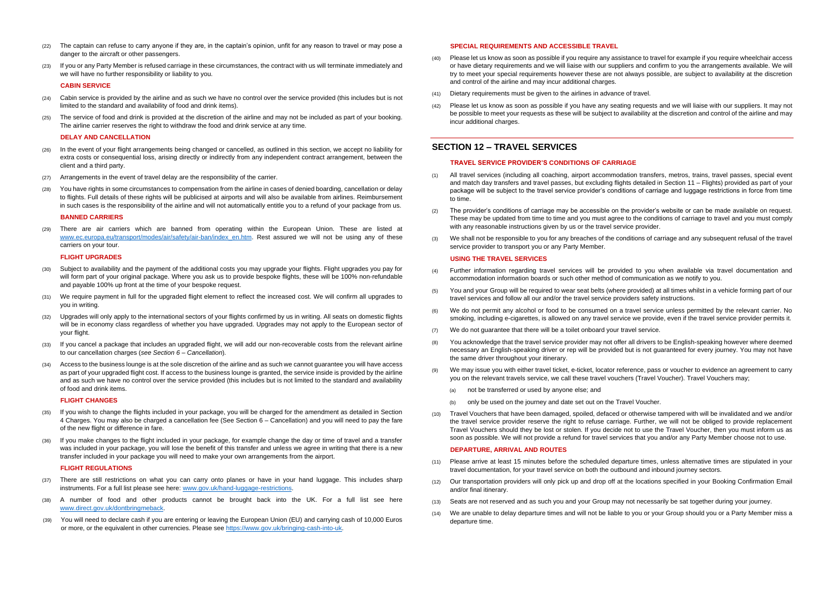- (22) The captain can refuse to carry anyone if they are, in the captain's opinion, unfit for any reason to travel or may pose a danger to the aircraft or other passengers.
- (23) If you or any Party Member is refused carriage in these circumstances, the contract with us will terminate immediately and we will have no further responsibility or liability to you.

### **CABIN SERVICE**

- (24) Cabin service is provided by the airline and as such we have no control over the service provided (this includes but is not limited to the standard and availability of food and drink items).
- (25) The service of food and drink is provided at the discretion of the airline and may not be included as part of your booking. The airline carrier reserves the right to withdraw the food and drink service at any time.

### **DELAY AND CANCELLATION**

- (26) In the event of your flight arrangements being changed or cancelled, as outlined in this section, we accept no liability for extra costs or consequential loss, arising directly or indirectly from any independent contract arrangement, between the client and a third party.
- (27) Arrangements in the event of travel delay are the responsibility of the carrier.
- (28) You have rights in some circumstances to compensation from the airline in cases of denied boarding, cancellation or delay to flights. Full details of these rights will be publicised at airports and will also be available from airlines. Reimbursement in such cases is the responsibility of the airline and will not automatically entitle you to a refund of your package from us.

### **BANNED CARRIERS**

(29) There are air carriers which are banned from operating within the European Union. These are listed at [www.ec.europa.eu/transport/modes/air/safety/air-ban/index\\_en.htm.](http://www.ec.europa.eu/transport/modes/air/safety/air-ban/index_en.htm) Rest assured we will not be using any of these carriers on your tour.

### **FLIGHT UPGRADES**

- (30) Subject to availability and the payment of the additional costs you may upgrade your flights. Flight upgrades you pay for will form part of your original package. Where you ask us to provide bespoke flights, these will be 100% non-refundable and payable 100% up front at the time of your bespoke request.
- (31) We require payment in full for the upgraded flight element to reflect the increased cost. We will confirm all upgrades to you in writing.
- (32) Upgrades will only apply to the international sectors of your flights confirmed by us in writing. All seats on domestic flights will be in economy class regardless of whether you have upgraded. Upgrades may not apply to the European sector of your flight.
- (33) If you cancel a package that includes an upgraded flight, we will add our non-recoverable costs from the relevant airline to our cancellation charges (*see Section 6 – Cancellation*)*.*
- (34) Access to the business lounge is at the sole discretion of the airline and as such we cannot guarantee you will have access as part of your upgraded flight cost. If access to the business lounge is granted, the service inside is provided by the airline and as such we have no control over the service provided (this includes but is not limited to the standard and availability of food and drink items.

#### **FLIGHT CHANGES**

- (35) If you wish to change the flights included in your package, you will be charged for the amendment as detailed in Section 4 Charges. You may also be charged a cancellation fee (See Section 6 – Cancellation) and you will need to pay the fare of the new flight or difference in fare.
- (36) If you make changes to the flight included in your package, for example change the day or time of travel and a transfer was included in your package, you will lose the benefit of this transfer and unless we agree in writing that there is a new transfer included in your package you will need to make your own arrangements from the airport.

### **FLIGHT REGULATIONS**

- (37) There are still restrictions on what you can carry onto planes or have in your hand luggage. This includes sharp instruments. For a full list please see here: [www.gov.uk/hand-luggage-restrictions.](http://www.gov.uk/hand-luggage-restrictions)
- (38) A number of food and other products cannot be brought back into the UK. For a full list see here [www.direct.gov.uk/dontbringmeback.](http://www.direct.gov.uk/dontbringmeback)
- You will need to declare cash if you are entering or leaving the European Union (EU) and carrying cash of 10,000 Euros or more, or the equivalent in other currencies. Please see [https://www.gov.uk/bringing-cash-into-uk.](https://www.gov.uk/bringing-cash-into-uk)

### **SPECIAL REQUIREMENTS AND ACCESSIBLE TRAVEL**

- (40) Please let us know as soon as possible if you require any assistance to travel for example if you require wheelchair access or have dietary requirements and we will liaise with our suppliers and confirm to you the arrangements available. We will try to meet your special requirements however these are not always possible, are subject to availability at the discretion and control of the airline and may incur additional charges.
- (41) Dietary requirements must be given to the airlines in advance of travel.
- Please let us know as soon as possible if you have any seating requests and we will liaise with our suppliers. It may not be possible to meet your requests as these will be subject to availability at the discretion and control of the airline and may incur additional charges.

# **SECTION 12 – TRAVEL SERVICES**

### **TRAVEL SERVICE PROVIDER'S CONDITIONS OF CARRIAGE**

- (1) All travel services (including all coaching, airport accommodation transfers, metros, trains, travel passes, special event and match day transfers and travel passes, but excluding flights detailed in Section 11 – Flights) provided as part of your package will be subject to the travel service provider's conditions of carriage and luggage restrictions in force from time to time.
- (2) The provider's conditions of carriage may be accessible on the provider's website or can be made available on request. These may be updated from time to time and you must agree to the conditions of carriage to travel and you must comply with any reasonable instructions given by us or the travel service provider.
- (3) We shall not be responsible to you for any breaches of the conditions of carriage and any subsequent refusal of the travel service provider to transport you or any Party Member.

### **USING THE TRAVEL SERVICES**

- (4) Further information regarding travel services will be provided to you when available via travel documentation and accommodation information boards or such other method of communication as we notify to you.
- (5) You and your Group will be required to wear seat belts (where provided) at all times whilst in a vehicle forming part of our travel services and follow all our and/or the travel service providers safety instructions.
- (6) We do not permit any alcohol or food to be consumed on a travel service unless permitted by the relevant carrier. No smoking, including e-cigarettes, is allowed on any travel service we provide, even if the travel service provider permits it.
- (7) We do not guarantee that there will be a toilet onboard your travel service.
- (8) You acknowledge that the travel service provider may not offer all drivers to be English-speaking however where deemed necessary an English-speaking driver or rep will be provided but is not guaranteed for every journey. You may not have the same driver throughout your itinerary.
- (9) We may issue you with either travel ticket, e-ticket, locator reference, pass or voucher to evidence an agreement to carry you on the relevant travels service, we call these travel vouchers (Travel Voucher). Travel Vouchers may;
	- (a) not be transferred or used by anyone else; and
	- (b) only be used on the journey and date set out on the Travel Voucher.
- (10) Travel Vouchers that have been damaged, spoiled, defaced or otherwise tampered with will be invalidated and we and/or the travel service provider reserve the right to refuse carriage. Further, we will not be obliged to provide replacement Travel Vouchers should they be lost or stolen. If you decide not to use the Travel Voucher, then you must inform us as soon as possible. We will not provide a refund for travel services that you and/or any Party Member choose not to use.

### **DEPARTURE, ARRIVAL AND ROUTES**

- (11) Please arrive at least 15 minutes before the scheduled departure times, unless alternative times are stipulated in your travel documentation, for your travel service on both the outbound and inbound journey sectors.
- (12) Our transportation providers will only pick up and drop off at the locations specified in your Booking Confirmation Email and/or final itinerary.
- (13) Seats are not reserved and as such you and your Group may not necessarily be sat together during your journey.
- (14) We are unable to delay departure times and will not be liable to you or your Group should you or a Party Member miss a departure time.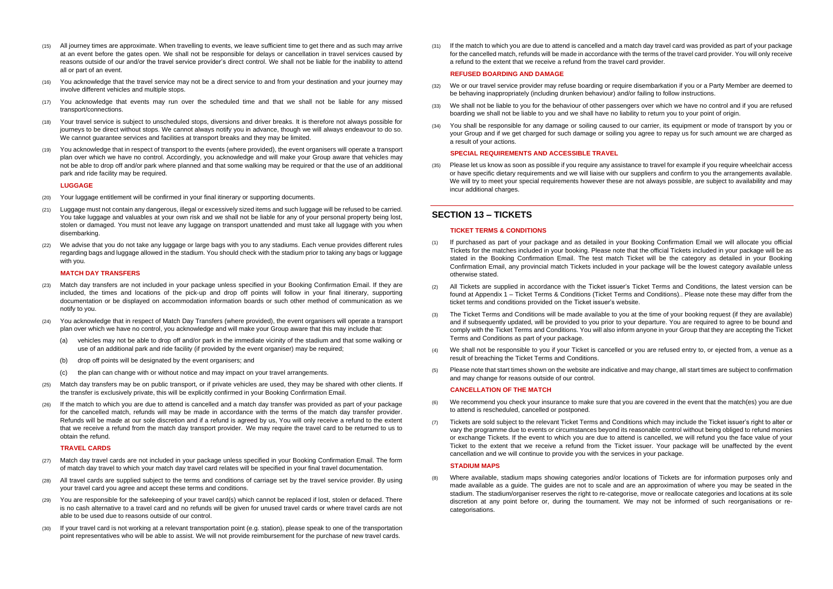- (15) All journey times are approximate. When travelling to events, we leave sufficient time to get there and as such may arrive at an event before the gates open. We shall not be responsible for delays or cancellation in travel services caused by reasons outside of our and/or the travel service provider's direct control. We shall not be liable for the inability to attend all or part of an event.
- (16) You acknowledge that the travel service may not be a direct service to and from your destination and your journey may involve different vehicles and multiple stops.
- (17) You acknowledge that events may run over the scheduled time and that we shall not be liable for any missed transport/connections.
- (18) Your travel service is subject to unscheduled stops, diversions and driver breaks. It is therefore not always possible for journeys to be direct without stops. We cannot always notify you in advance, though we will always endeavour to do so. We cannot quarantee services and facilities at transport breaks and they may be limited.
- (19) You acknowledge that in respect of transport to the events (where provided), the event organisers will operate a transport plan over which we have no control. Accordingly, you acknowledge and will make your Group aware that vehicles may not be able to drop off and/or park where planned and that some walking may be required or that the use of an additional park and ride facility may be required.

# **LUGGAGE**

- (20) Your luggage entitlement will be confirmed in your final itinerary or supporting documents.
- (21) Luggage must not contain any dangerous, illegal or excessively sized items and such luggage will be refused to be carried. You take luggage and valuables at your own risk and we shall not be liable for any of your personal property being lost, stolen or damaged. You must not leave any luggage on transport unattended and must take all luggage with you when disembarking.
- (22) We advise that you do not take any luggage or large bags with you to any stadiums. Each venue provides different rules regarding bags and luggage allowed in the stadium. You should check with the stadium prior to taking any bags or luggage with you.

### **MATCH DAY TRANSFERS**

- (23) Match day transfers are not included in your package unless specified in your Booking Confirmation Email. If they are included, the times and locations of the pick-up and drop off points will follow in your final itinerary, supporting documentation or be displayed on accommodation information boards or such other method of communication as we notify to you.
- (24) You acknowledge that in respect of Match Day Transfers (where provided), the event organisers will operate a transport plan over which we have no control, you acknowledge and will make your Group aware that this may include that:
	- (a) vehicles may not be able to drop off and/or park in the immediate vicinity of the stadium and that some walking or use of an additional park and ride facility (if provided by the event organiser) may be required;
	- (b) drop off points will be designated by the event organisers; and
	- (c) the plan can change with or without notice and may impact on your travel arrangements.
- (25) Match day transfers may be on public transport, or if private vehicles are used, they may be shared with other clients. If the transfer is exclusively private, this will be explicitly confirmed in your Booking Confirmation Email.
- (26) If the match to which you are due to attend is cancelled and a match day transfer was provided as part of your package for the cancelled match, refunds will may be made in accordance with the terms of the match day transfer provider. Refunds will be made at our sole discretion and if a refund is agreed by us, You will only receive a refund to the extent that we receive a refund from the match day transport provider. We may require the travel card to be returned to us to obtain the refund.

# **TRAVEL CARDS**

- (27) Match day travel cards are not included in your package unless specified in your Booking Confirmation Email. The form of match day travel to which your match day travel card relates will be specified in your final travel documentation.
- All travel cards are supplied subject to the terms and conditions of carriage set by the travel service provider. By using your travel card you agree and accept these terms and conditions.
- (29) You are responsible for the safekeeping of your travel card(s) which cannot be replaced if lost, stolen or defaced. There is no cash alternative to a travel card and no refunds will be given for unused travel cards or where travel cards are not able to be used due to reasons outside of our control.
- (30) If your travel card is not working at a relevant transportation point (e.g. station), please speak to one of the transportation point representatives who will be able to assist. We will not provide reimbursement for the purchase of new travel cards.

(31) If the match to which you are due to attend is cancelled and a match day travel card was provided as part of your package for the cancelled match, refunds will be made in accordance with the terms of the travel card provider. You will only receive a refund to the extent that we receive a refund from the travel card provider.

### **REFUSED BOARDING AND DAMAGE**

- We or our travel service provider may refuse boarding or require disembarkation if you or a Party Member are deemed to be behaving inappropriately (including drunken behaviour) and/or failing to follow instructions.
- We shall not be liable to you for the behaviour of other passengers over which we have no control and if you are refused boarding we shall not be liable to you and we shall have no liability to return you to your point of origin.
- You shall be responsible for any damage or soiling caused to our carrier, its equipment or mode of transport by you or your Group and if we get charged for such damage or soiling you agree to repay us for such amount we are charged as a result of your actions.

# **SPECIAL REQUIREMENTS AND ACCESSIBLE TRAVEL**

(35) Please let us know as soon as possible if you require any assistance to travel for example if you require wheelchair access or have specific dietary requirements and we will liaise with our suppliers and confirm to you the arrangements available. We will try to meet your special requirements however these are not always possible, are subject to availability and may incur additional charges.

# **SECTION 13 – TICKETS**

### **TICKET TERMS & CONDITIONS**

- (1) If purchased as part of your package and as detailed in your Booking Confirmation Email we will allocate you official Tickets for the matches included in your booking. Please note that the official Tickets included in your package will be as stated in the Booking Confirmation Email. The test match Ticket will be the category as detailed in your Booking Confirmation Email, any provincial match Tickets included in your package will be the lowest category available unless otherwise stated.
- (2) All Tickets are supplied in accordance with the Ticket issuer's Ticket Terms and Conditions, the latest version can be found at Appendix 1 – Ticket Terms & Conditions (Ticket Terms and Conditions).. Please note these may differ from the ticket terms and conditions provided on the Ticket issuer's website.
- (3) The Ticket Terms and Conditions will be made available to you at the time of your booking request (if they are available) and if subsequently updated, will be provided to you prior to your departure. You are required to agree to be bound and comply with the Ticket Terms and Conditions. You will also inform anyone in your Group that they are accepting the Ticket Terms and Conditions as part of your package.
- (4) We shall not be responsible to you if your Ticket is cancelled or you are refused entry to, or ejected from, a venue as a result of breaching the Ticket Terms and Conditions.
- (5) Please note that start times shown on the website are indicative and may change, all start times are subject to confirmation and may change for reasons outside of our control.

### **CANCELLATION OF THE MATCH**

- We recommend you check your insurance to make sure that you are covered in the event that the match(es) you are due to attend is rescheduled, cancelled or postponed.
- (7) Tickets are sold subject to the relevant Ticket Terms and Conditions which may include the Ticket issuer's right to alter or vary the programme due to events or circumstances beyond its reasonable control without being obliged to refund monies or exchange Tickets. If the event to which you are due to attend is cancelled, we will refund you the face value of your Ticket to the extent that we receive a refund from the Ticket issuer. Your package will be unaffected by the event cancellation and we will continue to provide you with the services in your package.

# **STADIUM MAPS**

(8) Where available, stadium maps showing categories and/or locations of Tickets are for information purposes only and made available as a guide. The guides are not to scale and are an approximation of where you may be seated in the stadium. The stadium/organiser reserves the right to re-categorise, move or reallocate categories and locations at its sole discretion at any point before or, during the tournament. We may not be informed of such reorganisations or recategorisations.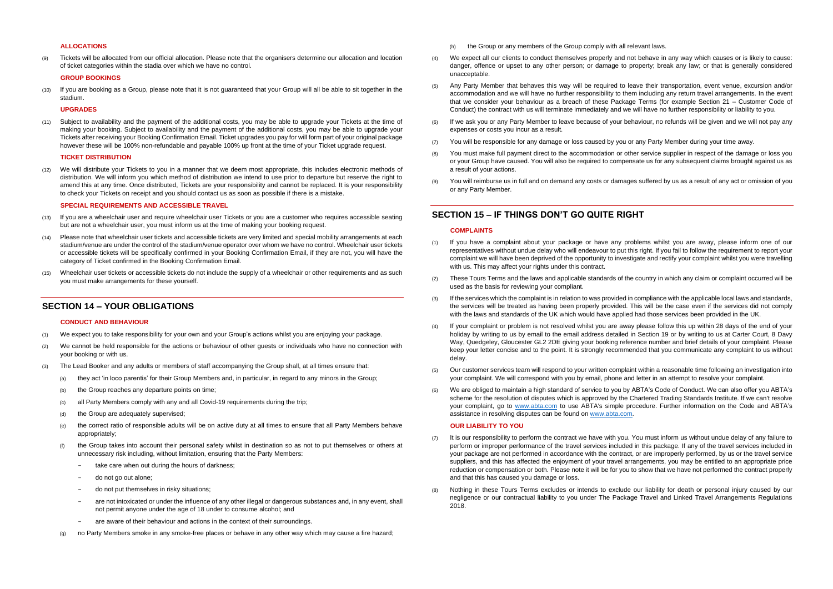### **ALLOCATIONS**

(9) Tickets will be allocated from our official allocation. Please note that the organisers determine our allocation and location of ticket categories within the stadia over which we have no control.

### **GROUP BOOKINGS**

(10) If you are booking as a Group, please note that it is not guaranteed that your Group will all be able to sit together in the stadium.

# **UPGRADES**

(11) Subject to availability and the payment of the additional costs, you may be able to upgrade your Tickets at the time of making your booking. Subject to availability and the payment of the additional costs, you may be able to upgrade your Tickets after receiving your Booking Confirmation Email. Ticket upgrades you pay for will form part of your original package however these will be 100% non-refundable and payable 100% up front at the time of your Ticket upgrade request.

# **TICKET DISTRIBUTION**

(12) We will distribute your Tickets to you in a manner that we deem most appropriate, this includes electronic methods of distribution. We will inform you which method of distribution we intend to use prior to departure but reserve the right to amend this at any time. Once distributed, Tickets are your responsibility and cannot be replaced. It is your responsibility to check your Tickets on receipt and you should contact us as soon as possible if there is a mistake.

# **SPECIAL REQUIREMENTS AND ACCESSIBLE TRAVEL**

- (13) If you are a wheelchair user and require wheelchair user Tickets or you are a customer who requires accessible seating but are not a wheelchair user, you must inform us at the time of making your booking request.
- (14) Please note that wheelchair user tickets and accessible tickets are very limited and special mobility arrangements at each stadium/venue are under the control of the stadium/venue operator over whom we have no control. Wheelchair user tickets or accessible tickets will be specifically confirmed in your Booking Confirmation Email, if they are not, you will have the category of Ticket confirmed in the Booking Confirmation Email.
- (15) Wheelchair user tickets or accessible tickets do not include the supply of a wheelchair or other requirements and as such you must make arrangements for these yourself.

# **SECTION 14 – YOUR OBLIGATIONS**

### **CONDUCT AND BEHAVIOUR**

- (1) We expect you to take responsibility for your own and your Group's actions whilst you are enjoying your package.
- (2) We cannot be held responsible for the actions or behaviour of other guests or individuals who have no connection with your booking or with us.
- (3) The Lead Booker and any adults or members of staff accompanying the Group shall, at all times ensure that:
	- (a) they act 'in loco parentis' for their Group Members and, in particular, in regard to any minors in the Group;
	- (b) the Group reaches any departure points on time;
	- (c) all Party Members comply with any and all Covid-19 requirements during the trip;
	- (d) the Group are adequately supervised;
	- the correct ratio of responsible adults will be on active duty at all times to ensure that all Party Members behave appropriately;
	- (f) the Group takes into account their personal safety whilst in destination so as not to put themselves or others at unnecessary risk including, without limitation, ensuring that the Party Members:
		- take care when out during the hours of darkness:
		- do not go out alone;
		- do not put themselves in risky situations;
		- are not intoxicated or under the influence of any other illegal or dangerous substances and, in any event, shall not permit anyone under the age of 18 under to consume alcohol; and
		- are aware of their behaviour and actions in the context of their surroundings.
	- no Party Members smoke in any smoke-free places or behave in any other way which may cause a fire hazard;
- (h) the Group or any members of the Group comply with all relevant laws.
- (4) We expect all our clients to conduct themselves properly and not behave in any way which causes or is likely to cause: danger, offence or upset to any other person; or damage to property; break any law; or that is generally considered unacceptable.
- (5) Any Party Member that behaves this way will be required to leave their transportation, event venue, excursion and/or accommodation and we will have no further responsibility to them including any return travel arrangements. In the event that we consider your behaviour as a breach of these Package Terms (for example Section 21 – Customer Code of Conduct) the contract with us will terminate immediately and we will have no further responsibility or liability to you.
- (6) If we ask you or any Party Member to leave because of your behaviour, no refunds will be given and we will not pay any expenses or costs you incur as a result.
- (7) You will be responsible for any damage or loss caused by you or any Party Member during your time away.
- (8) You must make full payment direct to the accommodation or other service supplier in respect of the damage or loss you or your Group have caused. You will also be required to compensate us for any subsequent claims brought against us as a result of your actions.
- (9) You will reimburse us in full and on demand any costs or damages suffered by us as a result of any act or omission of you or any Party Member.

# **SECTION 15 – IF THINGS DON'T GO QUITE RIGHT**

### **COMPLAINTS**

- (1) If you have a complaint about your package or have any problems whilst you are away, please inform one of our representatives without undue delay who will endeavour to put this right. If you fail to follow the requirement to report your complaint we will have been deprived of the opportunity to investigate and rectify your complaint whilst you were travelling with us. This may affect your rights under this contract.
- (2) These Tours Terms and the laws and applicable standards of the country in which any claim or complaint occurred will be used as the basis for reviewing your compliant.
- (3) If the services which the complaint is in relation to was provided in compliance with the applicable local laws and standards, the services will be treated as having been properly provided. This will be the case even if the services did not comply with the laws and standards of the UK which would have applied had those services been provided in the UK.
- (4) If your complaint or problem is not resolved whilst you are away please follow this up within 28 days of the end of your holiday by writing to us by email to the email address detailed in Section 19 or by writing to us at Carter Court, 8 Davy Way, Quedgeley, Gloucester GL2 2DE giving your booking reference number and brief details of your complaint. Please keep your letter concise and to the point. It is strongly recommended that you communicate any complaint to us without delay.
- (5) Our customer services team will respond to your written complaint within a reasonable time following an investigation into your complaint. We will correspond with you by email, phone and letter in an attempt to resolve your complaint.
- (6) We are obliged to maintain a high standard of service to you by ABTA's Code of Conduct. We can also offer you ABTA's scheme for the resolution of disputes which is approved by the Chartered Trading Standards Institute. If we can't resolve your complaint, go to [www.abta.com](http://www.abta.com/) to use ABTA's simple procedure. Further information on the Code and ABTA's assistance in resolving disputes can be found o[n www.abta.com.](http://www.abta.com/)

### **OUR LIABILITY TO YOU**

- (7) It is our responsibility to perform the contract we have with you. You must inform us without undue delay of any failure to perform or improper performance of the travel services included in this package. If any of the travel services included in your package are not performed in accordance with the contract, or are improperly performed, by us or the travel service suppliers, and this has affected the enjoyment of your travel arrangements, you may be entitled to an appropriate price reduction or compensation or both. Please note it will be for you to show that we have not performed the contract properly and that this has caused you damage or loss.
- (8) Nothing in these Tours Terms excludes or intends to exclude our liability for death or personal injury caused by our negligence or our contractual liability to you under The Package Travel and Linked Travel Arrangements Regulations 2018.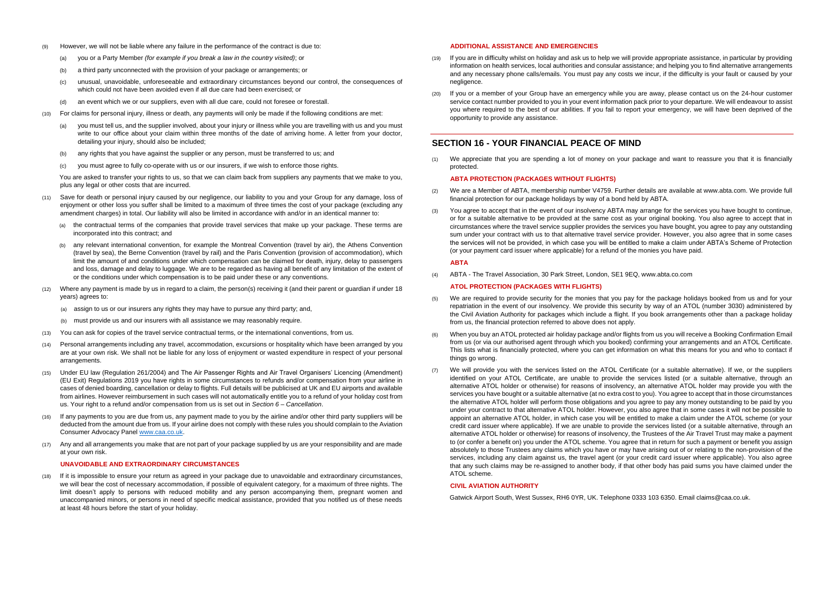- (9) However, we will not be liable where any failure in the performance of the contract is due to:
	- (a) you or a Party Member *(for example if you break a law in the country visited)*; or
	- (b) a third party unconnected with the provision of your package or arrangements; or
	- (c) unusual, unavoidable, unforeseeable and extraordinary circumstances beyond our control, the consequences of which could not have been avoided even if all due care had been exercised; or
	- (d) an event which we or our suppliers, even with all due care, could not foresee or forestall.
- (10) For claims for personal injury, illness or death, any payments will only be made if the following conditions are met:
	- (a) you must tell us, and the supplier involved, about your injury or illness while you are travelling with us and you must write to our office about your claim within three months of the date of arriving home. A letter from your doctor, detailing your injury, should also be included;
	- (b) any rights that you have against the supplier or any person, must be transferred to us; and
	- (c) you must agree to fully co-operate with us or our insurers, if we wish to enforce those rights.

You are asked to transfer your rights to us, so that we can claim back from suppliers any payments that we make to you. plus any legal or other costs that are incurred.

- (11) Save for death or personal injury caused by our negligence, our liability to you and your Group for any damage, loss of enjoyment or other loss you suffer shall be limited to a maximum of three times the cost of your package (excluding any amendment charges) in total. Our liability will also be limited in accordance with and/or in an identical manner to:
	- (a) the contractual terms of the companies that provide travel services that make up your package. These terms are incorporated into this contract; and
	- any relevant international convention, for example the Montreal Convention (travel by air), the Athens Convention (travel by sea), the Berne Convention (travel by rail) and the Paris Convention (provision of accommodation), which limit the amount of and conditions under which compensation can be claimed for death, injury, delay to passengers and loss, damage and delay to luggage. We are to be regarded as having all benefit of any limitation of the extent of or the conditions under which compensation is to be paid under these or any conventions.
- (12) Where any payment is made by us in regard to a claim, the person(s) receiving it (and their parent or guardian if under 18 years) agrees to:
	- (a) assign to us or our insurers any rights they may have to pursue any third party; and,
	- (b) must provide us and our insurers with all assistance we may reasonably require.
- (13) You can ask for copies of the travel service contractual terms, or the international conventions, from us.
- (14) Personal arrangements including any travel, accommodation, excursions or hospitality which have been arranged by you are at your own risk. We shall not be liable for any loss of enjoyment or wasted expenditure in respect of your personal arrangements.
- (15) Under EU law (Regulation 261/2004) and The Air Passenger Rights and Air Travel Organisers' Licencing (Amendment) (EU Exit) Regulations 2019 you have rights in some circumstances to refunds and/or compensation from your airline in cases of denied boarding, cancellation or delay to flights. Full details will be publicised at UK and EU airports and available from airlines. However reimbursement in such cases will not automatically entitle you to a refund of your holiday cost from us. Your right to a refund and/or compensation from us is set out in *Section 6 – Cancellation*.
- (16) If any payments to you are due from us, any payment made to you by the airline and/or other third party suppliers will be deducted from the amount due from us. If your airline does not comply with these rules you should complain to the Aviation Consumer Advocacy Pane[l www.caa.co.uk.](http://www.caa.co.uk/)
- (17) Any and all arrangements you make that are not part of your package supplied by us are your responsibility and are made at your own risk.

### **UNAVOIDABLE AND EXTRAORDINARY CIRCUMSTANCES**

(18) If it is impossible to ensure your return as agreed in your package due to unavoidable and extraordinary circumstances, we will bear the cost of necessary accommodation, if possible of equivalent category, for a maximum of three nights. The limit doesn't apply to persons with reduced mobility and any person accompanying them, pregnant women and unaccompanied minors, or persons in need of specific medical assistance, provided that you notified us of these needs at least 48 hours before the start of your holiday.

### **ADDITIONAL ASSISTANCE AND EMERGENCIES**

- (19) If you are in difficulty whilst on holiday and ask us to help we will provide appropriate assistance, in particular by providing information on health services, local authorities and consular assistance; and helping you to find alternative arrangements and any necessary phone calls/emails. You must pay any costs we incur, if the difficulty is your fault or caused by your negligence.
- (20) If you or a member of your Group have an emergency while you are away, please contact us on the 24-hour customer service contact number provided to you in your event information pack prior to your departure. We will endeavour to assist you where required to the best of our abilities. If you fail to report your emergency, we will have been deprived of the opportunity to provide any assistance.

# **SECTION 16 - YOUR FINANCIAL PEACE OF MIND**

(1) We appreciate that you are spending a lot of money on your package and want to reassure you that it is financially protected.

### **ABTA PROTECTION (PACKAGES WITHOUT FLIGHTS)**

- (2) We are a Member of ABTA, membership number V4759. Further details are available at www.abta.com. We provide full financial protection for our package holidays by way of a bond held by ABTA.
- (3) You agree to accept that in the event of our insolvency ABTA may arrange for the services you have bought to continue, or for a suitable alternative to be provided at the same cost as your original booking. You also agree to accept that in circumstances where the travel service supplier provides the services you have bought, you agree to pay any outstanding sum under your contract with us to that alternative travel service provider. However, you also agree that in some cases the services will not be provided, in which case you will be entitled to make a claim under ABTA's Scheme of Protection (or your payment card issuer where applicable) for a refund of the monies you have paid.

#### **ABTA**

(4) ABTA - The Travel Association, 30 Park Street, London, SE1 9EQ, www.abta.co.com

# **ATOL PROTECTION (PACKAGES WITH FLIGHTS)**

- (5) We are required to provide security for the monies that you pay for the package holidays booked from us and for your repatriation in the event of our insolvency. We provide this security by way of an ATOL (number 3030) administered by the Civil Aviation Authority for packages which include a flight. If you book arrangements other than a package holiday from us, the financial protection referred to above does not apply.
- (6) When you buy an ATOL protected air holiday package and/or flights from us you will receive a Booking Confirmation Email from us (or via our authorised agent through which you booked) confirming your arrangements and an ATOL Certificate. This lists what is financially protected, where you can get information on what this means for you and who to contact if things go wrong.
- (7) We will provide you with the services listed on the ATOL Certificate (or a suitable alternative). If we, or the suppliers identified on your ATOL Certificate, are unable to provide the services listed (or a suitable alternative, through an alternative ATOL holder or otherwise) for reasons of insolvency, an alternative ATOL holder may provide you with the services you have bought or a suitable alternative (at no extra cost to you). You agree to accept that in those circumstances the alternative ATOL holder will perform those obligations and you agree to pay any money outstanding to be paid by you under your contract to that alternative ATOL holder. However, you also agree that in some cases it will not be possible to appoint an alternative ATOL holder, in which case you will be entitled to make a claim under the ATOL scheme (or your credit card issuer where applicable). If we are unable to provide the services listed (or a suitable alternative, through an alternative ATOL holder or otherwise) for reasons of insolvency, the Trustees of the Air Travel Trust may make a payment to (or confer a benefit on) you under the ATOL scheme. You agree that in return for such a payment or benefit you assign absolutely to those Trustees any claims which you have or may have arising out of or relating to the non-provision of the services, including any claim against us, the travel agent (or your credit card issuer where applicable). You also agree that any such claims may be re-assigned to another body, if that other body has paid sums you have claimed under the ATOL scheme.

### **CIVIL AVIATION AUTHORITY**

Gatwick Airport South, West Sussex, RH6 0YR, UK. Telephone 0333 103 6350. Email claims@caa.co.uk.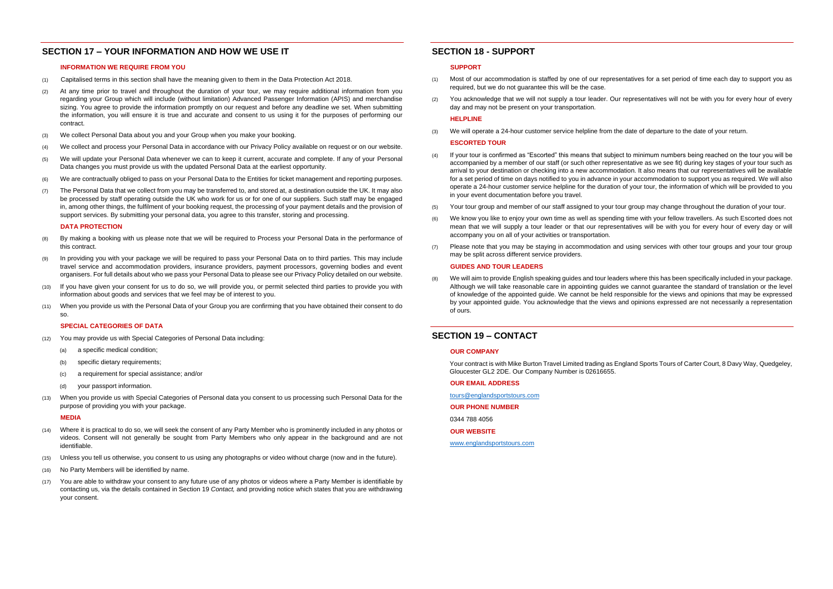# **SECTION 17 – YOUR INFORMATION AND HOW WE USE IT**

### **INFORMATION WE REQUIRE FROM YOU**

- (1) Capitalised terms in this section shall have the meaning given to them in the Data Protection Act 2018.
- (2) At any time prior to travel and throughout the duration of your tour, we may require additional information from you regarding your Group which will include (without limitation) Advanced Passenger Information (APIS) and merchandise sizing. You agree to provide the information promptly on our request and before any deadline we set. When submitting the information, you will ensure it is true and accurate and consent to us using it for the purposes of performing our contract.
- (3) We collect Personal Data about you and your Group when you make your booking.
- (4) We collect and process your Personal Data in accordance with our Privacy Policy available on request or on our website.
- (5) We will update your Personal Data whenever we can to keep it current, accurate and complete. If any of your Personal Data changes you must provide us with the updated Personal Data at the earliest opportunity.
- (6) We are contractually obliged to pass on your Personal Data to the Entities for ticket management and reporting purposes.
- (7) The Personal Data that we collect from you may be transferred to, and stored at, a destination outside the UK. It may also be processed by staff operating outside the UK who work for us or for one of our suppliers. Such staff may be engaged in, among other things, the fulfilment of your booking request, the processing of your payment details and the provision of support services. By submitting your personal data, you agree to this transfer, storing and processing.

### **DATA PROTECTION**

- (8) By making a booking with us please note that we will be required to Process your Personal Data in the performance of this contract.
- (9) In providing you with your package we will be required to pass your Personal Data on to third parties. This may include travel service and accommodation providers, insurance providers, payment processors, governing bodies and event organisers. For full details about who we pass your Personal Data to please see our Privacy Policy detailed on our website.
- (10) If you have given your consent for us to do so, we will provide you, or permit selected third parties to provide you with information about goods and services that we feel may be of interest to you.
- (11) When you provide us with the Personal Data of your Group you are confirming that you have obtained their consent to do so.

### **SPECIAL CATEGORIES OF DATA**

- (12) You may provide us with Special Categories of Personal Data including:
	- (a) a specific medical condition;
	- (b) specific dietary requirements:
	- (c) a requirement for special assistance; and/or
	- (d) your passport information.
- (13) When you provide us with Special Categories of Personal data you consent to us processing such Personal Data for the purpose of providing you with your package.

#### **MEDIA**

- (14) Where it is practical to do so, we will seek the consent of any Party Member who is prominently included in any photos or videos. Consent will not generally be sought from Party Members who only appear in the background and are not identifiable.
- (15) Unless you tell us otherwise, you consent to us using any photographs or video without charge (now and in the future).
- (16) No Party Members will be identified by name.
- (17) You are able to withdraw your consent to any future use of any photos or videos where a Party Member is identifiable by contacting us, via the details contained in Section 19 *Contact,* and providing notice which states that you are withdrawing your consent.

# **SECTION 18 - SUPPORT**

# **SUPPORT**

- (1) Most of our accommodation is staffed by one of our representatives for a set period of time each day to support you as required, but we do not guarantee this will be the case.
- (2) You acknowledge that we will not supply a tour leader. Our representatives will not be with you for every hour of every day and may not be present on your transportation.

# **HELPLINE**

We will operate a 24-hour customer service helpline from the date of departure to the date of your return.

#### **ESCORTED TOUR**

- (4) If your tour is confirmed as "Escorted" this means that subject to minimum numbers being reached on the tour you will be accompanied by a member of our staff (or such other representative as we see fit) during key stages of your tour such as arrival to your destination or checking into a new accommodation. It also means that our representatives will be available for a set period of time on days notified to you in advance in your accommodation to support you as required. We will also operate a 24-hour customer service helpline for the duration of your tour, the information of which will be provided to you in your event documentation before you travel.
- (5) Your tour group and member of our staff assigned to your tour group may change throughout the duration of your tour.
- (6) We know you like to enjoy your own time as well as spending time with your fellow travellers. As such Escorted does not mean that we will supply a tour leader or that our representatives will be with you for every hour of every day or will accompany you on all of your activities or transportation.
- (7) Please note that you may be staying in accommodation and using services with other tour groups and your tour group may be split across different service providers.

### **GUIDES AND TOUR LEADERS**

We will aim to provide English speaking guides and tour leaders where this has been specifically included in your package. Although we will take reasonable care in appointing guides we cannot guarantee the standard of translation or the level of knowledge of the appointed guide. We cannot be held responsible for the views and opinions that may be expressed by your appointed guide. You acknowledge that the views and opinions expressed are not necessarily a representation of ours.

# **SECTION 19 – CONTACT**

#### **OUR COMPANY**

Your contract is with Mike Burton Travel Limited trading as England Sports Tours of Carter Court, 8 Davy Way, Quedgeley, Gloucester GL2 2DE. Our Company Number is 02616655.

### **OUR EMAIL ADDRESS**

[tours@englandsportstours.com](mailto:tours@englandsportstours.com) **OUR PHONE NUMBER**

0344 788 4056

**OUR WEBSITE**

[www.englandsportstours.com](http://www.englandsportstours.com/)